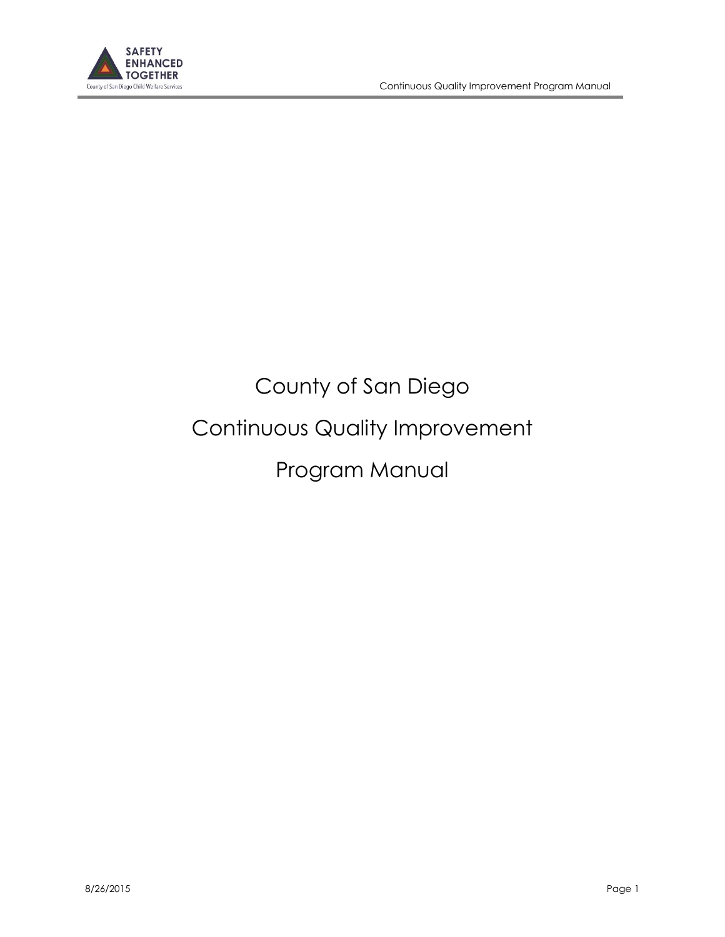

# County of San Diego Continuous Quality Improvement Program Manual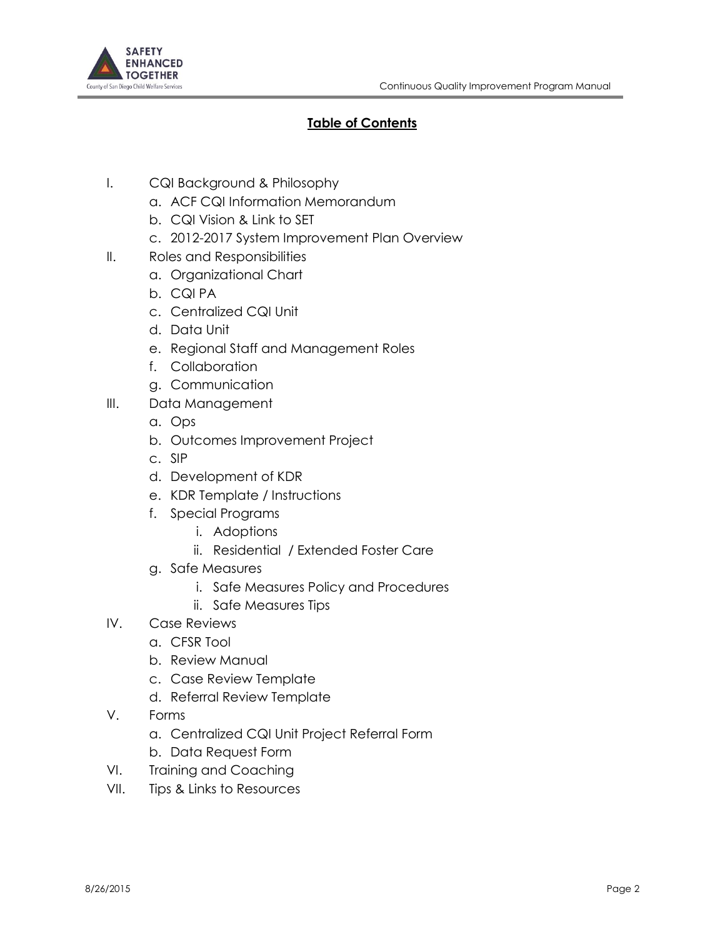

# **Table of Contents**

- I. CQI Background & Philosophy
	- a. ACF CQI Information Memorandum
	- b. CQI Vision & Link to SET
	- c. 2012-2017 System Improvement Plan Overview
- II. Roles and Responsibilities
	- a. Organizational Chart
	- b. CQI PA
	- c. Centralized CQI Unit
	- d. Data Unit
	- e. Regional Staff and Management Roles
	- f. Collaboration
	- g. Communication
- III. Data Management
	- a. Ops
	- b. Outcomes Improvement Project
	- c. SIP
	- d. Development of KDR
	- e. KDR Template / Instructions
	- f. Special Programs
		- i. Adoptions
		- ii. Residential / Extended Foster Care
	- g. Safe Measures
		- i. Safe Measures Policy and Procedures
		- ii. Safe Measures Tips
- IV. Case Reviews
	- a. CFSR Tool
	- b. Review Manual
	- c. Case Review Template
	- d. Referral Review Template
- V. Forms
	- a. Centralized CQI Unit Project Referral Form
	- b. Data Request Form
- VI. Training and Coaching
- VII. Tips & Links to Resources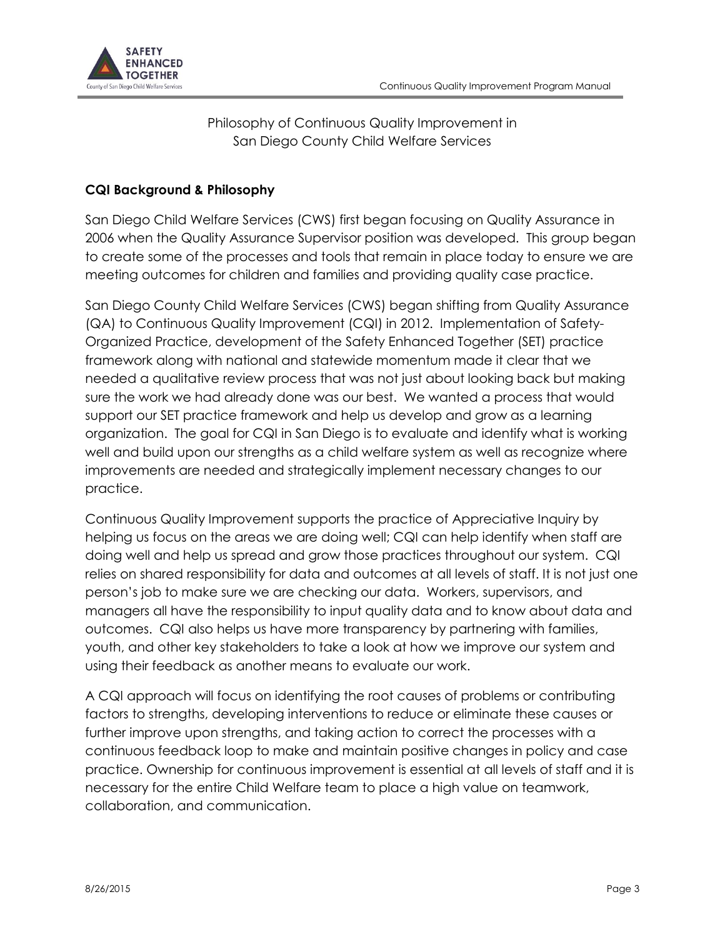

Philosophy of Continuous Quality Improvement in San Diego County Child Welfare Services

## **CQI Background & Philosophy**

San Diego Child Welfare Services (CWS) first began focusing on Quality Assurance in 2006 when the Quality Assurance Supervisor position was developed. This group began to create some of the processes and tools that remain in place today to ensure we are meeting outcomes for children and families and providing quality case practice.

San Diego County Child Welfare Services (CWS) began shifting from Quality Assurance (QA) to Continuous Quality Improvement (CQI) in 2012. Implementation of Safety-Organized Practice, development of the Safety Enhanced Together (SET) practice framework along with national and statewide momentum made it clear that we needed a qualitative review process that was not just about looking back but making sure the work we had already done was our best. We wanted a process that would support our SET practice framework and help us develop and grow as a learning organization. The goal for CQI in San Diego is to evaluate and identify what is working well and build upon our strengths as a child welfare system as well as recognize where improvements are needed and strategically implement necessary changes to our practice.

Continuous Quality Improvement supports the practice of Appreciative Inquiry by helping us focus on the areas we are doing well; CQI can help identify when staff are doing well and help us spread and grow those practices throughout our system. CQI relies on shared responsibility for data and outcomes at all levels of staff. It is not just one person's job to make sure we are checking our data. Workers, supervisors, and managers all have the responsibility to input quality data and to know about data and outcomes. CQI also helps us have more transparency by partnering with families, youth, and other key stakeholders to take a look at how we improve our system and using their feedback as another means to evaluate our work.

A CQI approach will focus on identifying the root causes of problems or contributing factors to strengths, developing interventions to reduce or eliminate these causes or further improve upon strengths, and taking action to correct the processes with a continuous feedback loop to make and maintain positive changes in policy and case practice. Ownership for continuous improvement is essential at all levels of staff and it is necessary for the entire Child Welfare team to place a high value on teamwork, collaboration, and communication.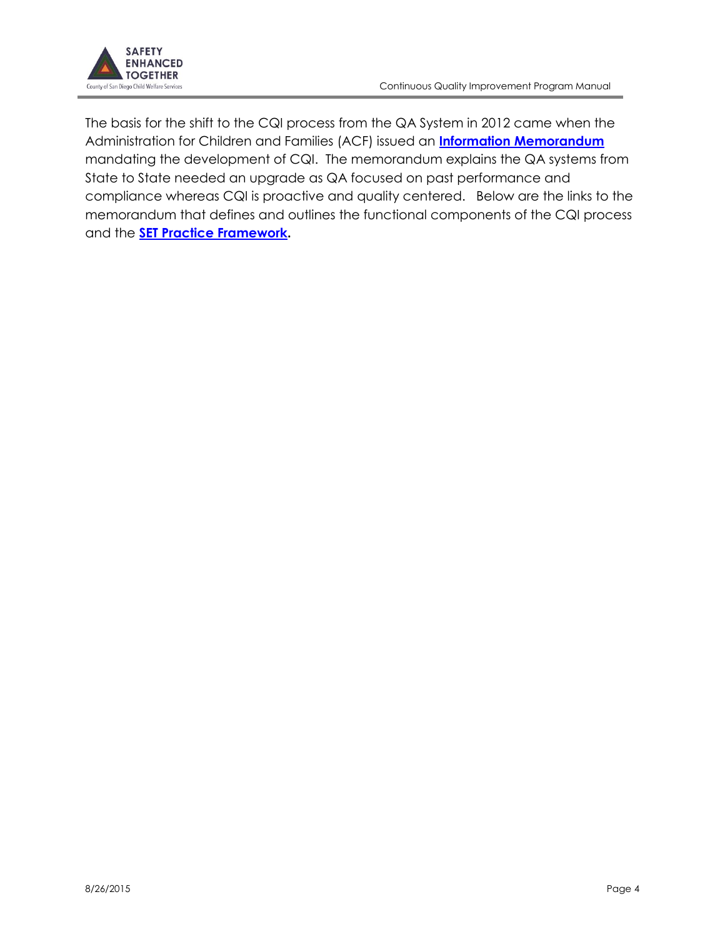

The basis for the shift to the CQI process from the QA System in 2012 came when the Administration for Children and Families (ACF) issued an **[Information Memorandum](http://www.acf.hhs.gov/sites/default/files/cb/im1207.pdf)** mandating the development of CQI. The memorandum explains the QA systems from State to State needed an upgrade as QA focused on past performance and compliance whereas CQI is proactive and quality centered. Below are the links to the memorandum that defines and outlines the functional components of the CQI process and the **[SET Practice Framework](https://cwc/sites/CWS/GaR/Shared%20Documents/Resources/SET/SET%20Values%20and%20Principles.pdf).**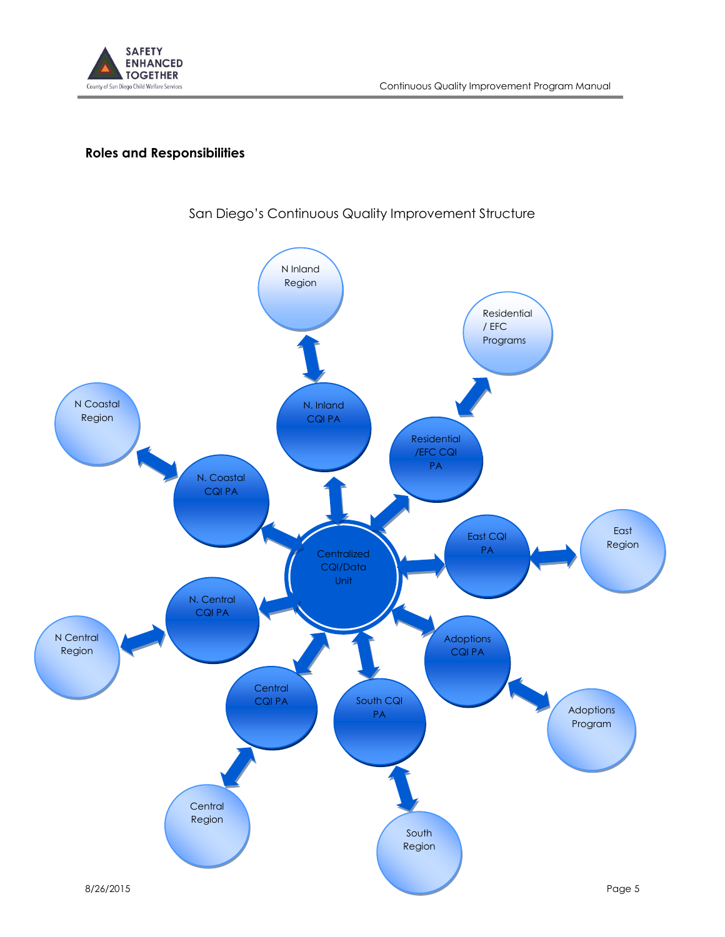

# **Roles and Responsibilities**



# San Diego's Continuous Quality Improvement Structure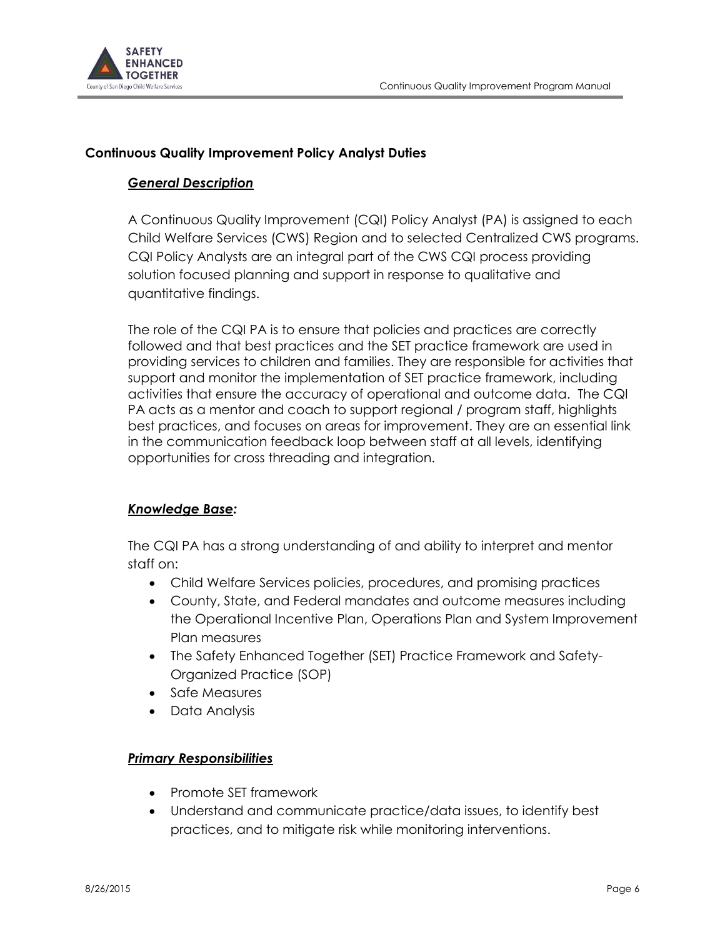

#### **Continuous Quality Improvement Policy Analyst Duties**

#### *General Description*

A Continuous Quality Improvement (CQI) Policy Analyst (PA) is assigned to each Child Welfare Services (CWS) Region and to selected Centralized CWS programs. CQI Policy Analysts are an integral part of the CWS CQI process providing solution focused planning and support in response to qualitative and quantitative findings.

The role of the CQI PA is to ensure that policies and practices are correctly followed and that best practices and the SET practice framework are used in providing services to children and families. They are responsible for activities that support and monitor the implementation of SET practice framework, including activities that ensure the accuracy of operational and outcome data. The CQI PA acts as a mentor and coach to support regional / program staff, highlights best practices, and focuses on areas for improvement. They are an essential link in the communication feedback loop between staff at all levels, identifying opportunities for cross threading and integration.

#### *Knowledge Base:*

The CQI PA has a strong understanding of and ability to interpret and mentor staff on:

- Child Welfare Services policies, procedures, and promising practices
- County, State, and Federal mandates and outcome measures including the Operational Incentive Plan, Operations Plan and System Improvement Plan measures
- The Safety Enhanced Together (SET) Practice Framework and Safety-Organized Practice (SOP)
- Safe Measures
- Data Analysis

#### *Primary Responsibilities*

- Promote SET framework
- Understand and communicate practice/data issues, to identify best practices, and to mitigate risk while monitoring interventions.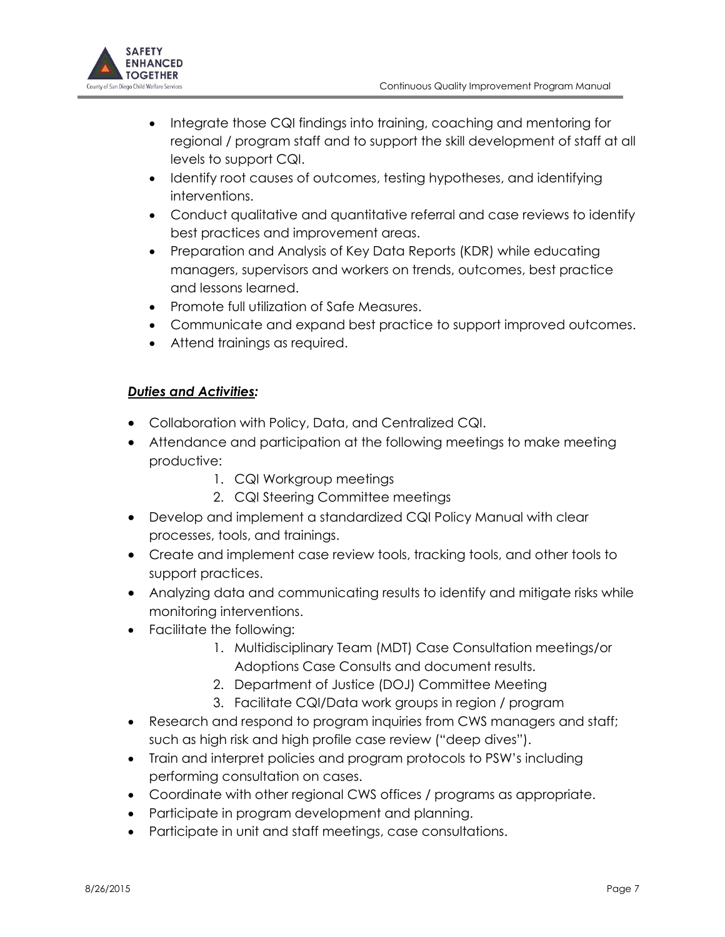

- Integrate those CQI findings into training, coaching and mentoring for regional / program staff and to support the skill development of staff at all levels to support CQI.
- Identify root causes of outcomes, testing hypotheses, and identifying interventions.
- Conduct qualitative and quantitative referral and case reviews to identify best practices and improvement areas.
- Preparation and Analysis of Key Data Reports (KDR) while educating managers, supervisors and workers on trends, outcomes, best practice and lessons learned.
- Promote full utilization of Safe Measures.
- Communicate and expand best practice to support improved outcomes.
- Attend trainings as required.

## *Duties and Activities:*

- Collaboration with Policy, Data, and Centralized CQI.
- Attendance and participation at the following meetings to make meeting productive:
	- 1. CQI Workgroup meetings
	- 2. CQI Steering Committee meetings
- Develop and implement a standardized CQI Policy Manual with clear processes, tools, and trainings.
- Create and implement case review tools, tracking tools, and other tools to support practices.
- Analyzing data and communicating results to identify and mitigate risks while monitoring interventions.
- Facilitate the following:
	- 1. Multidisciplinary Team (MDT) Case Consultation meetings/or Adoptions Case Consults and document results.
	- 2. Department of Justice (DOJ) Committee Meeting
	- 3. Facilitate CQI/Data work groups in region / program
- Research and respond to program inquiries from CWS managers and staff; such as high risk and high profile case review ("deep dives").
- Train and interpret policies and program protocols to PSW's including performing consultation on cases.
- Coordinate with other regional CWS offices / programs as appropriate.
- Participate in program development and planning.
- Participate in unit and staff meetings, case consultations.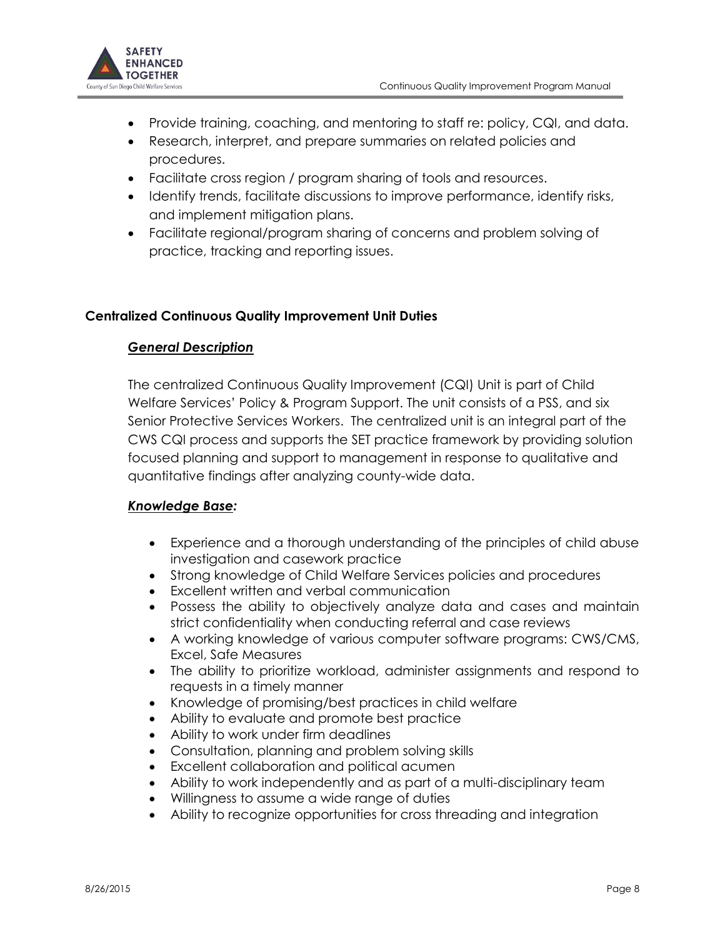

- Provide training, coaching, and mentoring to staff re: policy, CQI, and data.
- Research, interpret, and prepare summaries on related policies and procedures.
- Facilitate cross region / program sharing of tools and resources.
- Identify trends, facilitate discussions to improve performance, identify risks, and implement mitigation plans.
- Facilitate regional/program sharing of concerns and problem solving of practice, tracking and reporting issues.

## **Centralized Continuous Quality Improvement Unit Duties**

#### *General Description*

The centralized Continuous Quality Improvement (CQI) Unit is part of Child Welfare Services' Policy & Program Support. The unit consists of a PSS, and six Senior Protective Services Workers. The centralized unit is an integral part of the CWS CQI process and supports the SET practice framework by providing solution focused planning and support to management in response to qualitative and quantitative findings after analyzing county-wide data.

## *Knowledge Base:*

- Experience and a thorough understanding of the principles of child abuse investigation and casework practice
- Strong knowledge of Child Welfare Services policies and procedures
- Excellent written and verbal communication
- Possess the ability to objectively analyze data and cases and maintain strict confidentiality when conducting referral and case reviews
- A working knowledge of various computer software programs: CWS/CMS, Excel, Safe Measures
- The ability to prioritize workload, administer assignments and respond to requests in a timely manner
- Knowledge of promising/best practices in child welfare
- Ability to evaluate and promote best practice
- Ability to work under firm deadlines
- Consultation, planning and problem solving skills
- Excellent collaboration and political acumen
- Ability to work independently and as part of a multi-disciplinary team
- Willingness to assume a wide range of duties
- Ability to recognize opportunities for cross threading and integration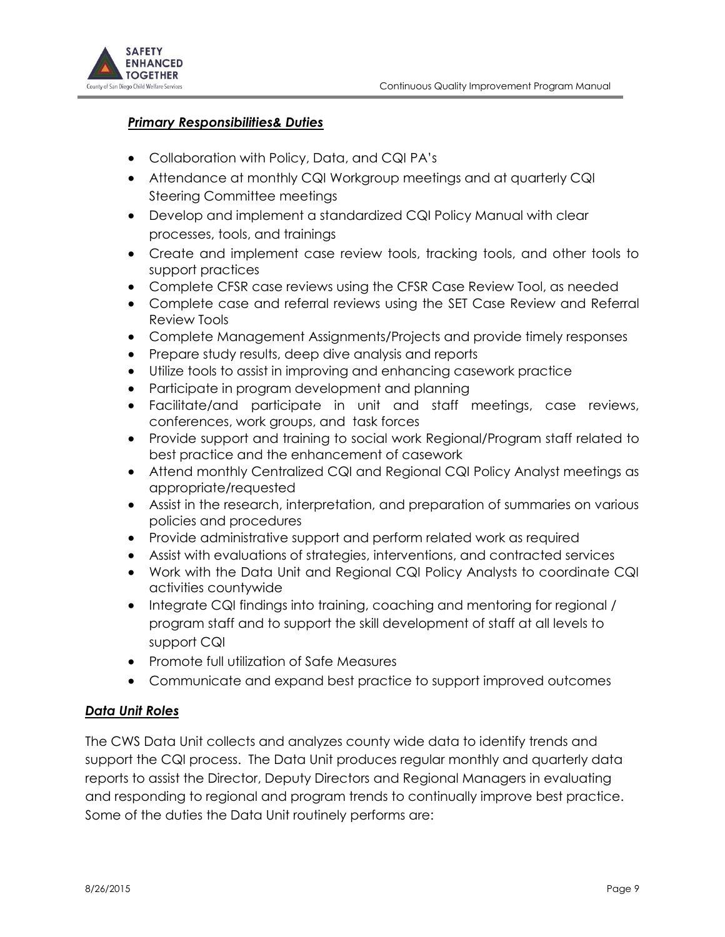

#### *Primary Responsibilities& Duties*

- Collaboration with Policy, Data, and CQI PA's
- Attendance at monthly CQI Workgroup meetings and at quarterly CQI Steering Committee meetings
- Develop and implement a standardized CQI Policy Manual with clear processes, tools, and trainings
- Create and implement case review tools, tracking tools, and other tools to support practices
- Complete CFSR case reviews using the CFSR Case Review Tool, as needed
- Complete case and referral reviews using the SET Case Review and Referral Review Tools
- Complete Management Assignments/Projects and provide timely responses
- Prepare study results, deep dive analysis and reports
- Utilize tools to assist in improving and enhancing casework practice
- Participate in program development and planning
- Facilitate/and participate in unit and staff meetings, case reviews, conferences, work groups, and task forces
- Provide support and training to social work Regional/Program staff related to best practice and the enhancement of casework
- Attend monthly Centralized CQI and Regional CQI Policy Analyst meetings as appropriate/requested
- Assist in the research, interpretation, and preparation of summaries on various policies and procedures
- Provide administrative support and perform related work as required
- Assist with evaluations of strategies, interventions, and contracted services
- Work with the Data Unit and Regional CQI Policy Analysts to coordinate CQI activities countywide
- Integrate CQI findings into training, coaching and mentoring for regional / program staff and to support the skill development of staff at all levels to support CQI
- Promote full utilization of Safe Measures
- Communicate and expand best practice to support improved outcomes

#### *Data Unit Roles*

The CWS Data Unit collects and analyzes county wide data to identify trends and support the CQI process. The Data Unit produces regular monthly and quarterly data reports to assist the Director, Deputy Directors and Regional Managers in evaluating and responding to regional and program trends to continually improve best practice. Some of the duties the Data Unit routinely performs are: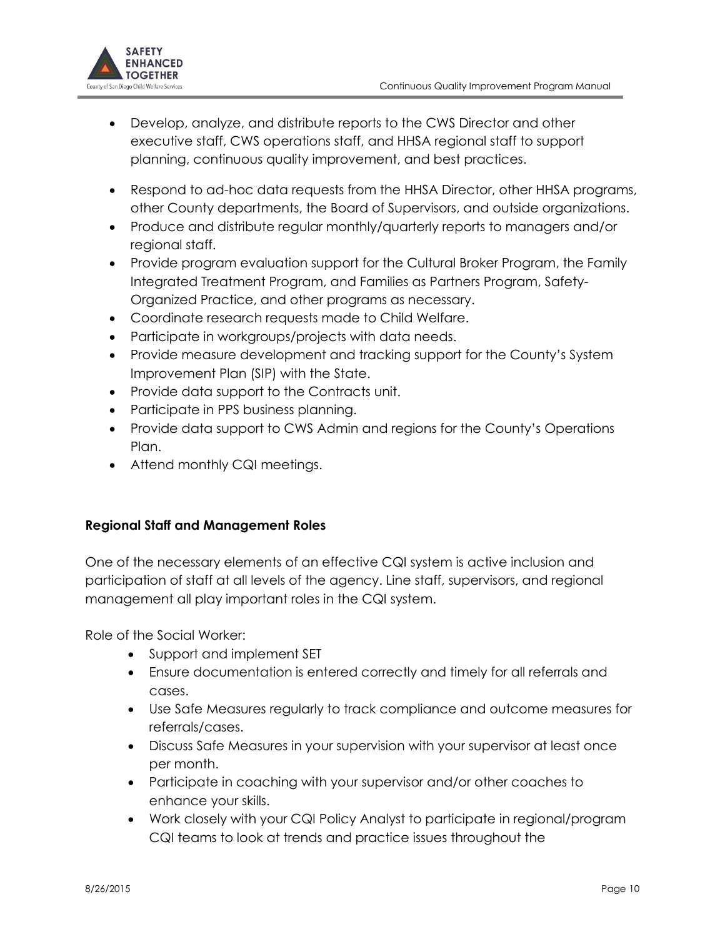

- Develop, analyze, and distribute reports to the CWS Director and other executive staff, CWS operations staff, and HHSA regional staff to support planning, continuous quality improvement, and best practices.
- Respond to ad-hoc data requests from the HHSA Director, other HHSA programs, other County departments, the Board of Supervisors, and outside organizations.
- Produce and distribute regular monthly/quarterly reports to managers and/or regional staff.
- Provide program evaluation support for the Cultural Broker Program, the Family Integrated Treatment Program, and Families as Partners Program, Safety-Organized Practice, and other programs as necessary.
- Coordinate research requests made to Child Welfare.
- Participate in workgroups/projects with data needs.
- Provide measure development and tracking support for the County's System Improvement Plan (SIP) with the State.
- Provide data support to the Contracts unit.
- Participate in PPS business planning.
- Provide data support to CWS Admin and regions for the County's Operations Plan.
- Attend monthly CQI meetings.

## **Regional Staff and Management Roles**

One of the necessary elements of an effective CQI system is active inclusion and participation of staff at all levels of the agency. Line staff, supervisors, and regional management all play important roles in the CQI system.

Role of the Social Worker:

- Support and implement SET
- Ensure documentation is entered correctly and timely for all referrals and cases.
- Use Safe Measures regularly to track compliance and outcome measures for referrals/cases.
- Discuss Safe Measures in your supervision with your supervisor at least once per month.
- Participate in coaching with your supervisor and/or other coaches to enhance your skills.
- Work closely with your CQI Policy Analyst to participate in regional/program CQI teams to look at trends and practice issues throughout the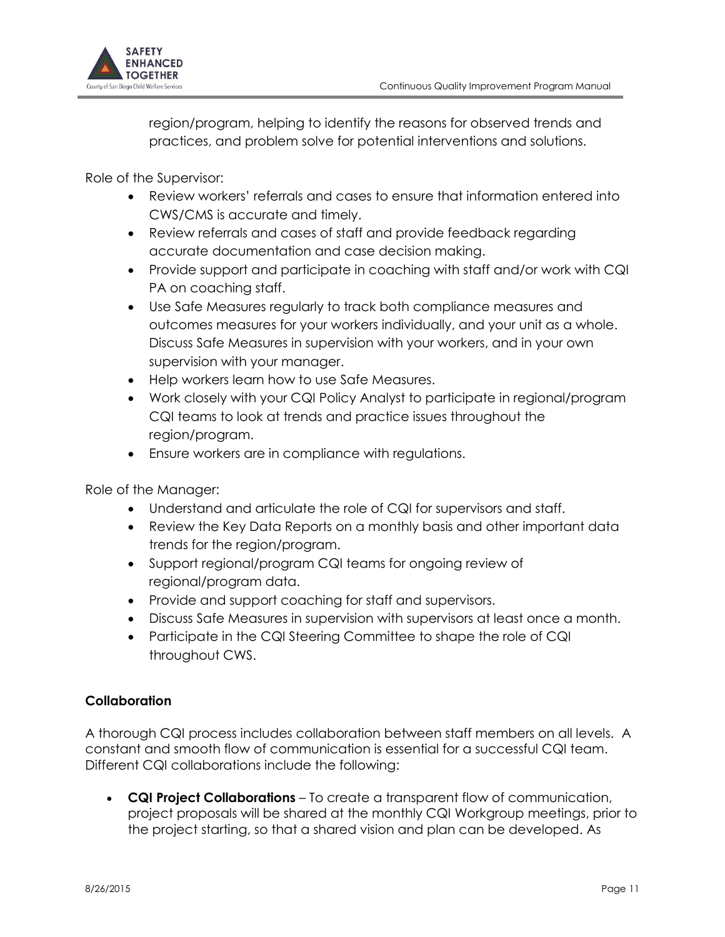

region/program, helping to identify the reasons for observed trends and practices, and problem solve for potential interventions and solutions.

Role of the Supervisor:

- Review workers' referrals and cases to ensure that information entered into CWS/CMS is accurate and timely.
- Review referrals and cases of staff and provide feedback regarding accurate documentation and case decision making.
- Provide support and participate in coaching with staff and/or work with CQI PA on coaching staff.
- Use Safe Measures regularly to track both compliance measures and outcomes measures for your workers individually, and your unit as a whole. Discuss Safe Measures in supervision with your workers, and in your own supervision with your manager.
- Help workers learn how to use Safe Measures.
- Work closely with your CQI Policy Analyst to participate in regional/program CQI teams to look at trends and practice issues throughout the region/program.
- Ensure workers are in compliance with regulations.

Role of the Manager:

- Understand and articulate the role of CQI for supervisors and staff.
- Review the Key Data Reports on a monthly basis and other important data trends for the region/program.
- Support regional/program CQI teams for ongoing review of regional/program data.
- Provide and support coaching for staff and supervisors.
- Discuss Safe Measures in supervision with supervisors at least once a month.
- Participate in the CQI Steering Committee to shape the role of CQI throughout CWS.

## **Collaboration**

A thorough CQI process includes collaboration between staff members on all levels. A constant and smooth flow of communication is essential for a successful CQI team. Different CQI collaborations include the following:

 **CQI Project Collaborations** – To create a transparent flow of communication, project proposals will be shared at the monthly CQI Workgroup meetings, prior to the project starting, so that a shared vision and plan can be developed. As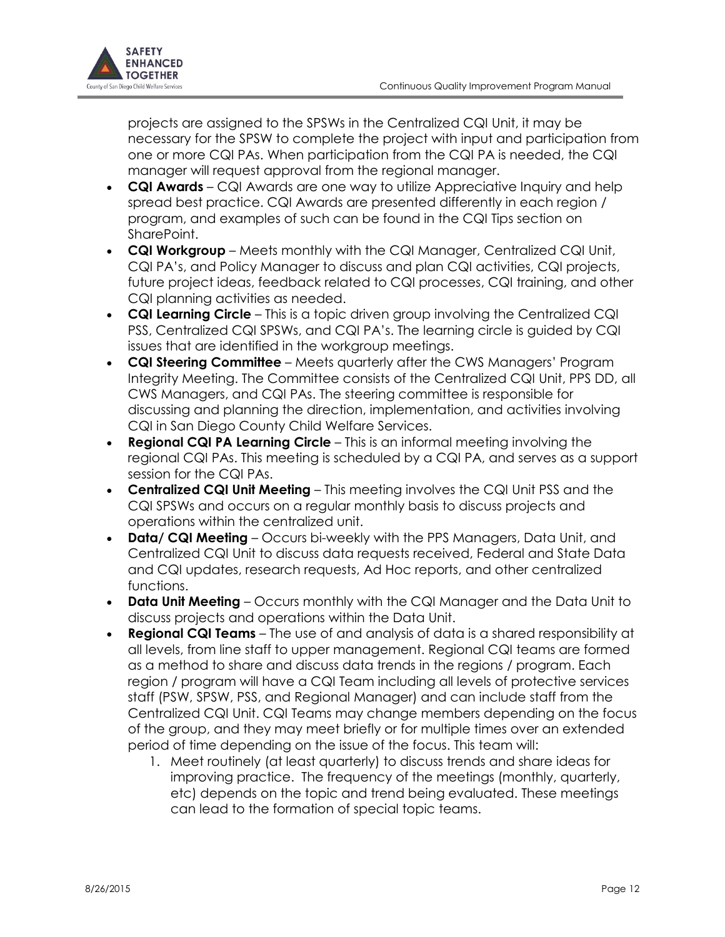

projects are assigned to the SPSWs in the Centralized CQI Unit, it may be necessary for the SPSW to complete the project with input and participation from one or more CQI PAs. When participation from the CQI PA is needed, the CQI manager will request approval from the regional manager.

- **CQI Awards** CQI Awards are one way to utilize Appreciative Inquiry and help spread best practice. CQI Awards are presented differently in each region / program, and examples of such can be found in the CQI Tips section on SharePoint.
- **CQI Workgroup** Meets monthly with the CQI Manager, Centralized CQI Unit, CQI PA's, and Policy Manager to discuss and plan CQI activities, CQI projects, future project ideas, feedback related to CQI processes, CQI training, and other CQI planning activities as needed.
- **CQI Learning Circle** This is a topic driven group involving the Centralized CQI PSS, Centralized CQI SPSWs, and CQI PA's. The learning circle is guided by CQI issues that are identified in the workgroup meetings.
- **CQI Steering Committee** Meets quarterly after the CWS Managers' Program Integrity Meeting. The Committee consists of the Centralized CQI Unit, PPS DD, all CWS Managers, and CQI PAs. The steering committee is responsible for discussing and planning the direction, implementation, and activities involving CQI in San Diego County Child Welfare Services.
- **Regional CQI PA Learning Circle** This is an informal meeting involving the regional CQI PAs. This meeting is scheduled by a CQI PA, and serves as a support session for the CQI PAs.
- **Centralized CQI Unit Meeting** This meeting involves the CQI Unit PSS and the CQI SPSWs and occurs on a regular monthly basis to discuss projects and operations within the centralized unit.
- **Data/ CQI Meeting** Occurs bi-weekly with the PPS Managers, Data Unit, and Centralized CQI Unit to discuss data requests received, Federal and State Data and CQI updates, research requests, Ad Hoc reports, and other centralized functions.
- **Data Unit Meeting** Occurs monthly with the CQI Manager and the Data Unit to discuss projects and operations within the Data Unit.
- **Regional CQI Teams** The use of and analysis of data is a shared responsibility at all levels, from line staff to upper management. Regional CQI teams are formed as a method to share and discuss data trends in the regions / program. Each region / program will have a CQI Team including all levels of protective services staff (PSW, SPSW, PSS, and Regional Manager) and can include staff from the Centralized CQI Unit. CQI Teams may change members depending on the focus of the group, and they may meet briefly or for multiple times over an extended period of time depending on the issue of the focus. This team will:
	- 1. Meet routinely (at least quarterly) to discuss trends and share ideas for improving practice. The frequency of the meetings (monthly, quarterly, etc) depends on the topic and trend being evaluated. These meetings can lead to the formation of special topic teams.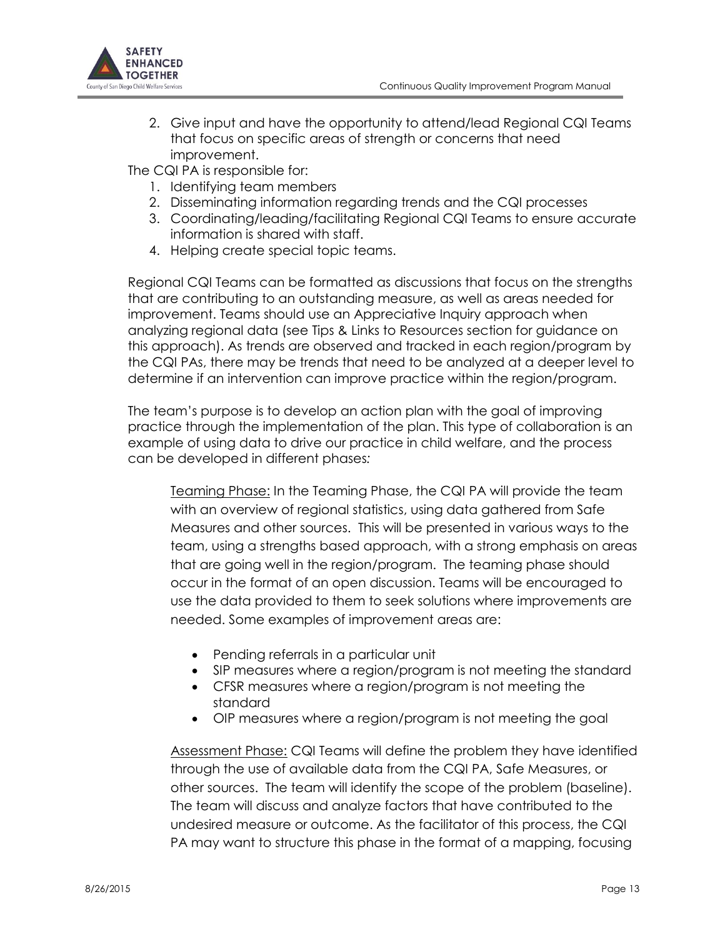

2. Give input and have the opportunity to attend/lead Regional CQI Teams that focus on specific areas of strength or concerns that need improvement.

The CQI PA is responsible for:

- 1. Identifying team members
- 2. Disseminating information regarding trends and the CQI processes
- 3. Coordinating/leading/facilitating Regional CQI Teams to ensure accurate information is shared with staff.
- 4. Helping create special topic teams.

Regional CQI Teams can be formatted as discussions that focus on the strengths that are contributing to an outstanding measure, as well as areas needed for improvement. Teams should use an Appreciative Inquiry approach when analyzing regional data (see Tips & Links to Resources section for guidance on this approach). As trends are observed and tracked in each region/program by the CQI PAs, there may be trends that need to be analyzed at a deeper level to determine if an intervention can improve practice within the region/program.

The team's purpose is to develop an action plan with the goal of improving practice through the implementation of the plan. This type of collaboration is an example of using data to drive our practice in child welfare, and the process can be developed in different phases*:*

Teaming Phase: In the Teaming Phase, the CQI PA will provide the team with an overview of regional statistics, using data gathered from Safe Measures and other sources. This will be presented in various ways to the team, using a strengths based approach, with a strong emphasis on areas that are going well in the region/program. The teaming phase should occur in the format of an open discussion. Teams will be encouraged to use the data provided to them to seek solutions where improvements are needed. Some examples of improvement areas are:

- Pending referrals in a particular unit
- SIP measures where a region/program is not meeting the standard
- CFSR measures where a region/program is not meeting the standard
- OIP measures where a region/program is not meeting the goal

Assessment Phase: CQI Teams will define the problem they have identified through the use of available data from the CQI PA, Safe Measures, or other sources. The team will identify the scope of the problem (baseline). The team will discuss and analyze factors that have contributed to the undesired measure or outcome. As the facilitator of this process, the CQI PA may want to structure this phase in the format of a mapping, focusing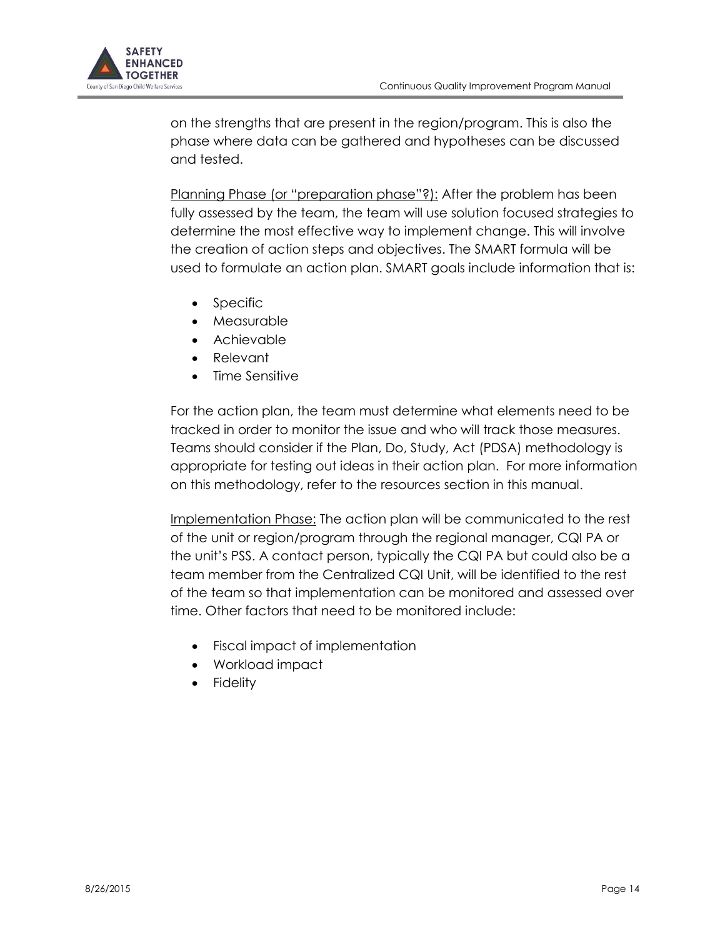

on the strengths that are present in the region/program. This is also the phase where data can be gathered and hypotheses can be discussed and tested.

Planning Phase (or "preparation phase"?): After the problem has been fully assessed by the team, the team will use solution focused strategies to determine the most effective way to implement change. This will involve the creation of action steps and objectives. The SMART formula will be used to formulate an action plan. SMART goals include information that is:

- Specific
- Measurable
- Achievable
- Relevant
- Time Sensitive

For the action plan, the team must determine what elements need to be tracked in order to monitor the issue and who will track those measures. Teams should consider if the Plan, Do, Study, Act (PDSA) methodology is appropriate for testing out ideas in their action plan. For more information on this methodology, refer to the resources section in this manual.

Implementation Phase: The action plan will be communicated to the rest of the unit or region/program through the regional manager, CQI PA or the unit's PSS. A contact person, typically the CQI PA but could also be a team member from the Centralized CQI Unit, will be identified to the rest of the team so that implementation can be monitored and assessed over time. Other factors that need to be monitored include:

- Fiscal impact of implementation
- Workload impact
- **Fidelity**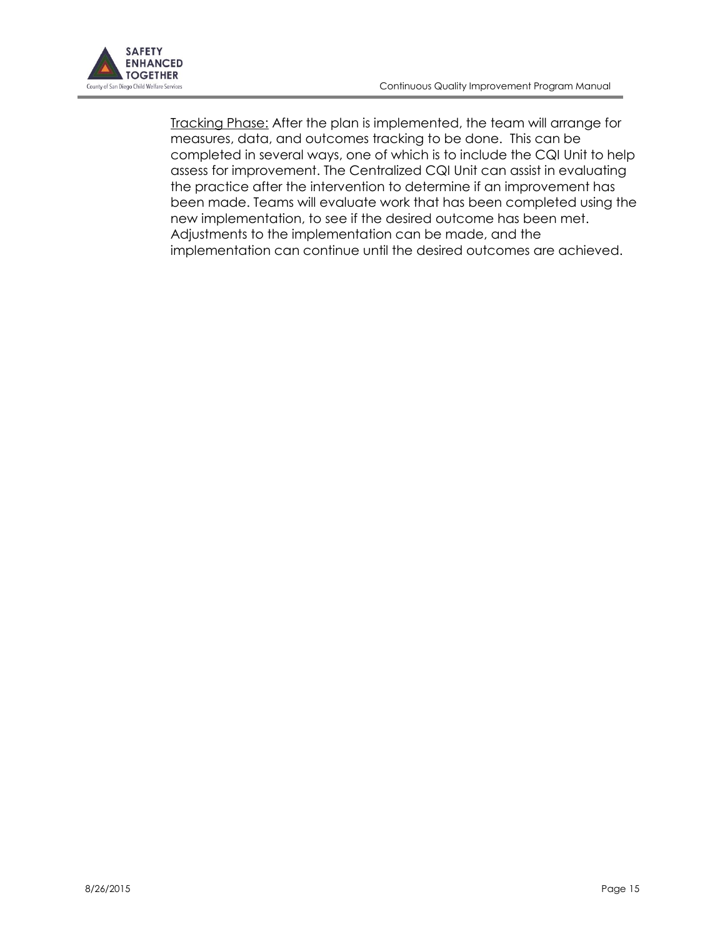

Tracking Phase: After the plan is implemented, the team will arrange for measures, data, and outcomes tracking to be done. This can be completed in several ways, one of which is to include the CQI Unit to help assess for improvement. The Centralized CQI Unit can assist in evaluating the practice after the intervention to determine if an improvement has been made. Teams will evaluate work that has been completed using the new implementation, to see if the desired outcome has been met. Adjustments to the implementation can be made, and the implementation can continue until the desired outcomes are achieved.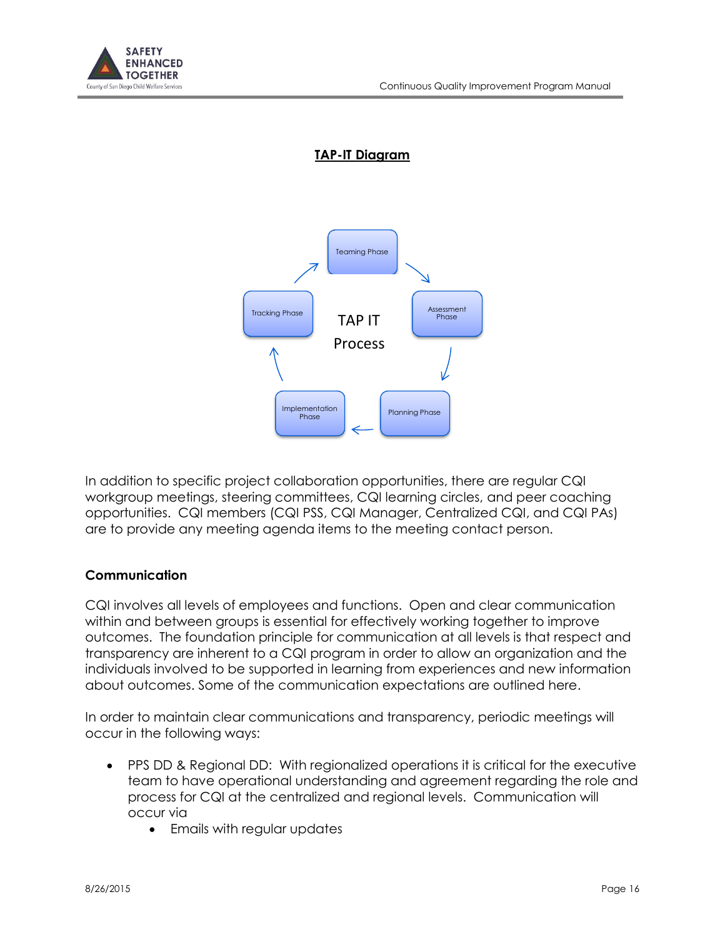## **TAP-IT Diagram**



In addition to specific project collaboration opportunities, there are regular CQI workgroup meetings, steering committees, CQI learning circles, and peer coaching opportunities. CQI members (CQI PSS, CQI Manager, Centralized CQI, and CQI PAs) are to provide any meeting agenda items to the meeting contact person.

#### **Communication**

CQI involves all levels of employees and functions. Open and clear communication within and between groups is essential for effectively working together to improve outcomes. The foundation principle for communication at all levels is that respect and transparency are inherent to a CQI program in order to allow an organization and the individuals involved to be supported in learning from experiences and new information about outcomes. Some of the communication expectations are outlined here.

In order to maintain clear communications and transparency, periodic meetings will occur in the following ways:

- PPS DD & Regional DD: With regionalized operations it is critical for the executive team to have operational understanding and agreement regarding the role and process for CQI at the centralized and regional levels. Communication will occur via
	- Emails with regular updates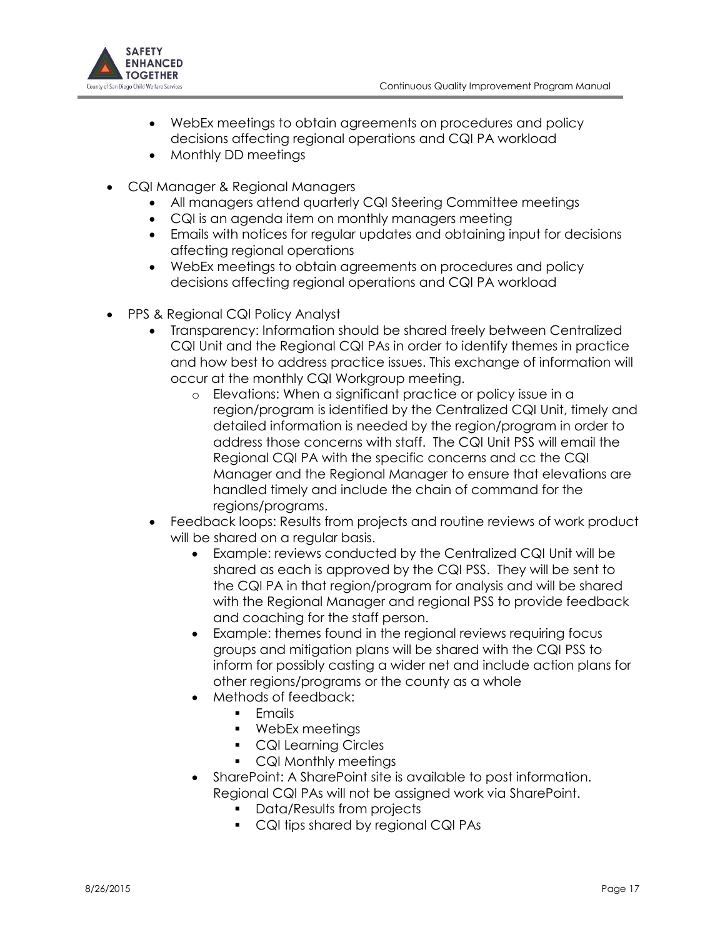

- WebEx meetings to obtain agreements on procedures and policy decisions affecting regional operations and CQI PA workload
- Monthly DD meetings
- CQI Manager & Regional Managers
	- All managers attend quarterly CQI Steering Committee meetings
	- CQI is an agenda item on monthly managers meeting
	- Emails with notices for regular updates and obtaining input for decisions affecting regional operations
	- WebEx meetings to obtain agreements on procedures and policy decisions affecting regional operations and CQI PA workload
- PPS & Regional CQI Policy Analyst
	- Transparency: Information should be shared freely between Centralized CQI Unit and the Regional CQI PAs in order to identify themes in practice and how best to address practice issues. This exchange of information will occur at the monthly CQI Workgroup meeting.
		- o Elevations: When a significant practice or policy issue in a region/program is identified by the Centralized CQI Unit, timely and detailed information is needed by the region/program in order to address those concerns with staff. The CQI Unit PSS will email the Regional CQI PA with the specific concerns and cc the CQI Manager and the Regional Manager to ensure that elevations are handled timely and include the chain of command for the regions/programs.
	- Feedback loops: Results from projects and routine reviews of work product will be shared on a regular basis.
		- Example: reviews conducted by the Centralized CQI Unit will be shared as each is approved by the CQI PSS. They will be sent to the CQI PA in that region/program for analysis and will be shared with the Regional Manager and regional PSS to provide feedback and coaching for the staff person.
		- Example: themes found in the regional reviews requiring focus groups and mitigation plans will be shared with the CQI PSS to inform for possibly casting a wider net and include action plans for other regions/programs or the county as a whole
		- Methods of feedback:
			- **Fmails**
			- WebEx meetings
			- **CQI Learning Circles**
			- CQI Monthly meetings
		- SharePoint: A SharePoint site is available to post information. Regional CQI PAs will not be assigned work via SharePoint.
			- **Data/Results from projects**
			- CQI tips shared by regional CQI PAs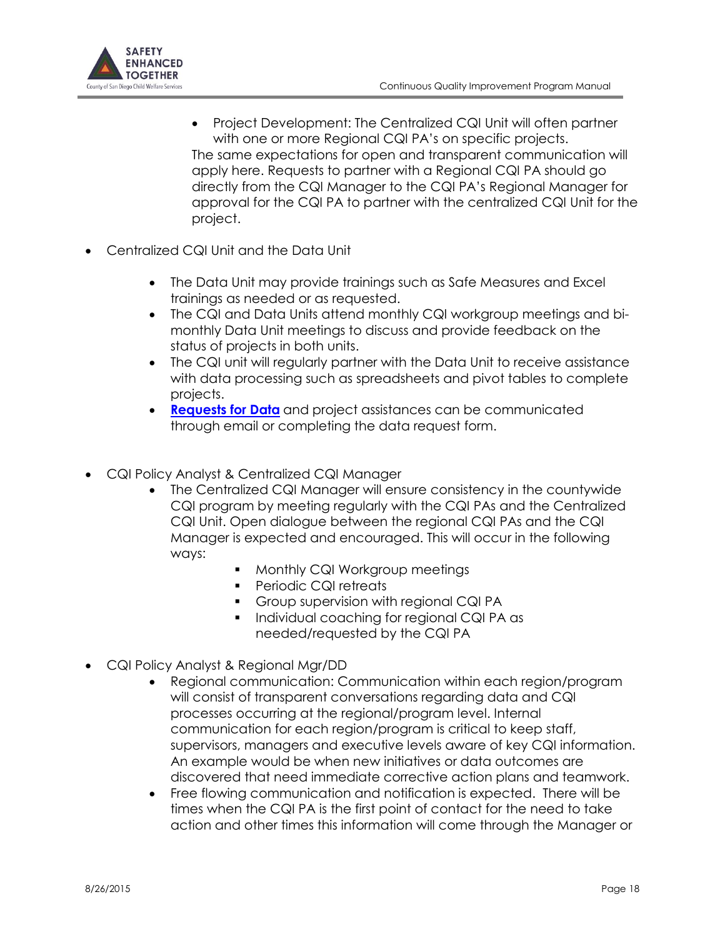

- Project Development: The Centralized CQI Unit will often partner with one or more Regional CQI PA's on specific projects. The same expectations for open and transparent communication will apply here. Requests to partner with a Regional CQI PA should go directly from the CQI Manager to the CQI PA's Regional Manager for approval for the CQI PA to partner with the centralized CQI Unit for the project.
- Centralized CQI Unit and the Data Unit
	- The Data Unit may provide trainings such as Safe Measures and Excel trainings as needed or as requested.
	- The CQI and Data Units attend monthly CQI workgroup meetings and bimonthly Data Unit meetings to discuss and provide feedback on the status of projects in both units.
	- The CQI unit will regularly partner with the Data Unit to receive assistance with data processing such as spreadsheets and pivot tables to complete projects.
	- **[Requests for Data](https://cwc/sites/CWS/GaR/Shared%20Documents/CWS%20Forms/04-321.dot)** and project assistances can be communicated through email or completing the data request form.
- CQI Policy Analyst & Centralized CQI Manager
	- The Centralized CQI Manager will ensure consistency in the countywide CQI program by meeting regularly with the CQI PAs and the Centralized CQI Unit. Open dialogue between the regional CQI PAs and the CQI Manager is expected and encouraged. This will occur in the following ways:
		- **Monthly CQI Workgroup meetings**
		- **Periodic CQI retreats**
		- Group supervision with regional CQI PA
		- **Individual coaching for regional CQI PA as** needed/requested by the CQI PA
- CQI Policy Analyst & Regional Mgr/DD
	- Regional communication: Communication within each region/program will consist of transparent conversations regarding data and CQI processes occurring at the regional/program level. Internal communication for each region/program is critical to keep staff, supervisors, managers and executive levels aware of key CQI information. An example would be when new initiatives or data outcomes are discovered that need immediate corrective action plans and teamwork.
	- Free flowing communication and notification is expected. There will be times when the CQI PA is the first point of contact for the need to take action and other times this information will come through the Manager or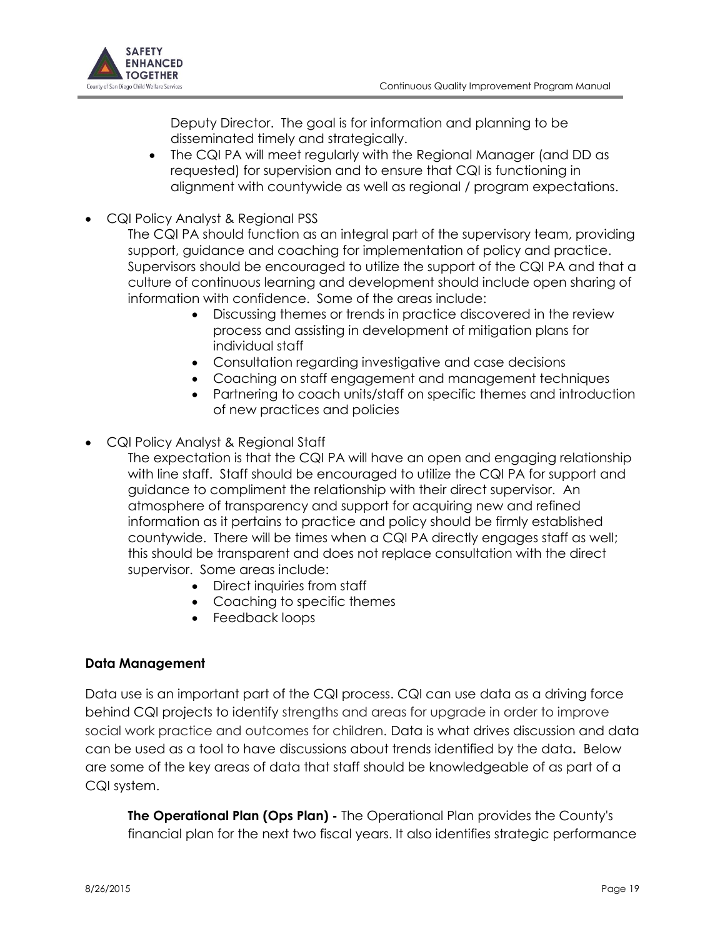

Deputy Director. The goal is for information and planning to be disseminated timely and strategically.

- The CQI PA will meet regularly with the Regional Manager (and DD as requested) for supervision and to ensure that CQI is functioning in alignment with countywide as well as regional / program expectations.
- CQI Policy Analyst & Regional PSS
	- The CQI PA should function as an integral part of the supervisory team, providing support, guidance and coaching for implementation of policy and practice. Supervisors should be encouraged to utilize the support of the CQI PA and that a culture of continuous learning and development should include open sharing of information with confidence. Some of the areas include:
		- Discussing themes or trends in practice discovered in the review process and assisting in development of mitigation plans for individual staff
		- Consultation regarding investigative and case decisions
		- Coaching on staff engagement and management techniques
		- Partnering to coach units/staff on specific themes and introduction of new practices and policies

CQI Policy Analyst & Regional Staff

- The expectation is that the CQI PA will have an open and engaging relationship with line staff. Staff should be encouraged to utilize the CQI PA for support and guidance to compliment the relationship with their direct supervisor. An atmosphere of transparency and support for acquiring new and refined information as it pertains to practice and policy should be firmly established countywide. There will be times when a CQI PA directly engages staff as well; this should be transparent and does not replace consultation with the direct supervisor. Some areas include:
	- Direct inquiries from staff
	- Coaching to specific themes
	- Feedback loops

#### **Data Management**

Data use is an important part of the CQI process. CQI can use data as a driving force behind CQI projects to identify strengths and areas for upgrade in order to improve social work practice and outcomes for children. Data is what drives discussion and data can be used as a tool to have discussions about trends identified by the data**.** Below are some of the key areas of data that staff should be knowledgeable of as part of a CQI system.

**The Operational Plan (Ops Plan) -** The Operational Plan provides the County's financial plan for the next two fiscal years. It also identifies strategic performance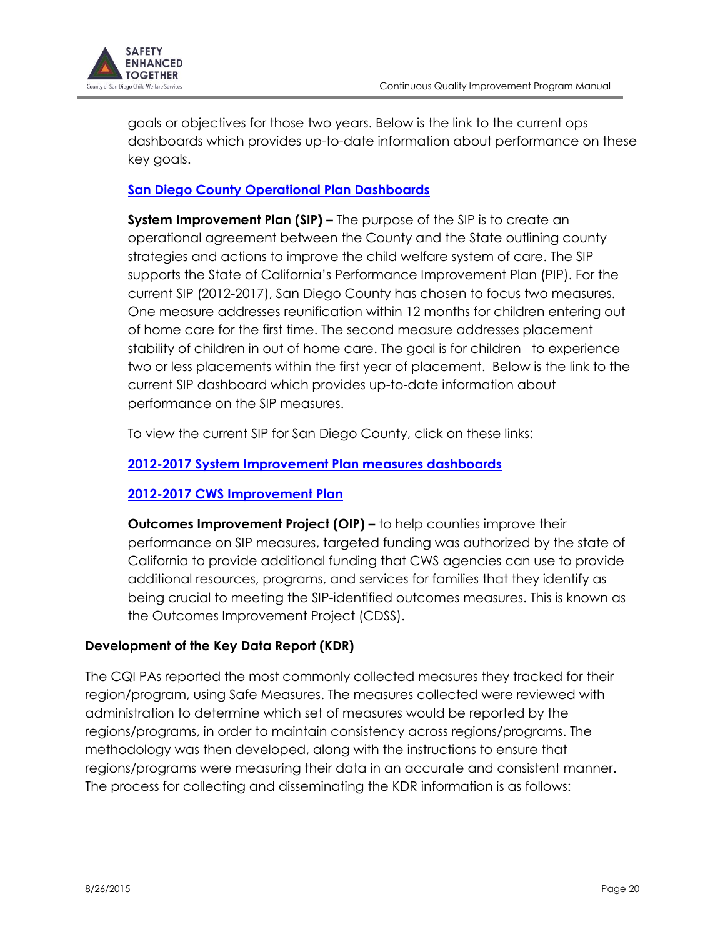

goals or objectives for those two years. Below is the link to the current ops dashboards which provides up-to-date information about performance on these key goals.

# **[San Diego County Operational Plan Dashboards](https://cwc/sites/CWS/GaR/Shared%20Documents/Data_Unit/dashboards/executive/fy1213_ops_plan/FY1213_Ops.htm)**

**System Improvement Plan (SIP) –** The purpose of the SIP is to create an operational agreement between the County and the State outlining county strategies and actions to improve the child welfare system of care. The SIP supports the State of California's Performance Improvement Plan (PIP). For the current SIP (2012-2017), San Diego County has chosen to focus two measures. One measure addresses reunification within 12 months for children entering out of home care for the first time. The second measure addresses placement stability of children in out of home care. The goal is for children to experience two or less placements within the first year of placement. Below is the link to the current SIP dashboard which provides up-to-date information about performance on the SIP measures.

To view the current SIP for San Diego County, click on these links:

# **[2012-2017 System Improvement Plan measures dashboards](https://cwc/sites/CWS/GaR/Shared%20Documents/Data_Unit/dashboards/executive/2012_SIP/2012_SIP.htm)**

# **[2012-2017 CWS Improvement Plan](http://www.co.san-diego.ca.us/hhsa/programs/cs/documents/SIP_Report_5-15-12.pdf)**

**Outcomes Improvement Project (OIP) –** to help counties improve their performance on SIP measures, targeted funding was authorized by the state of California to provide additional funding that CWS agencies can use to provide additional resources, programs, and services for families that they identify as being crucial to meeting the SIP-identified outcomes measures. This is known as the Outcomes Improvement Project (CDSS).

# **Development of the Key Data Report (KDR)**

The CQI PAs reported the most commonly collected measures they tracked for their region/program, using Safe Measures. The measures collected were reviewed with administration to determine which set of measures would be reported by the regions/programs, in order to maintain consistency across regions/programs. The methodology was then developed, along with the instructions to ensure that regions/programs were measuring their data in an accurate and consistent manner. The process for collecting and disseminating the KDR information is as follows: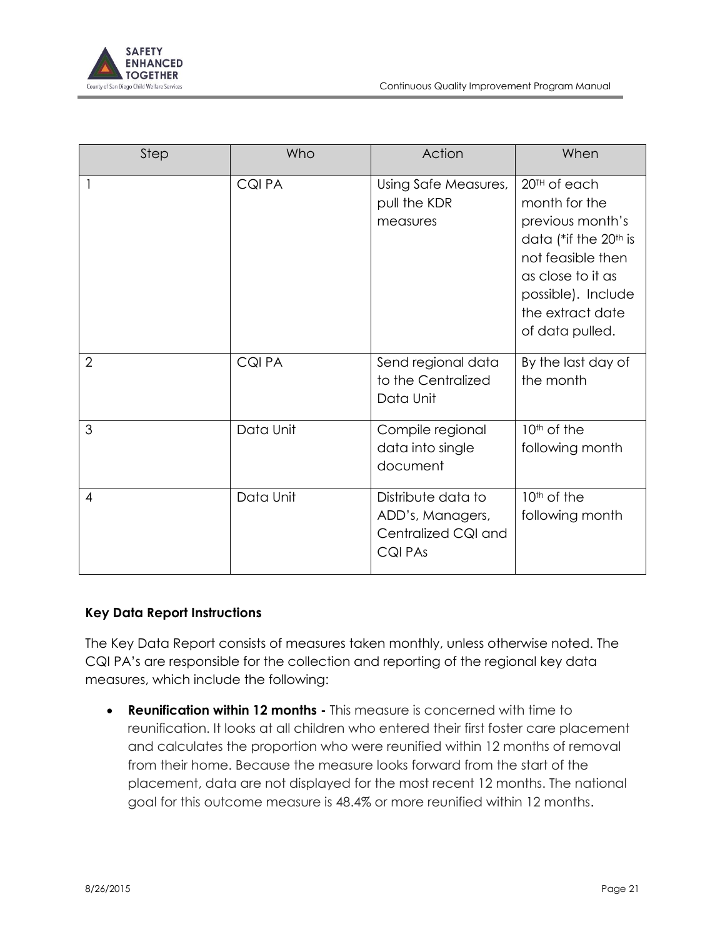

| Step           | Who           | Action                                                                   | When                                                                                                                                                                                                      |
|----------------|---------------|--------------------------------------------------------------------------|-----------------------------------------------------------------------------------------------------------------------------------------------------------------------------------------------------------|
|                | <b>CQIPA</b>  | Using Safe Measures,<br>pull the KDR<br>measures                         | 20 <sup>TH</sup> of each<br>month for the<br>previous month's<br>data (*if the 20 <sup>th</sup> is<br>not feasible then<br>as close to it as<br>possible). Include<br>the extract date<br>of data pulled. |
| $\overline{2}$ | <b>CQI PA</b> | Send regional data<br>to the Centralized<br>Data Unit                    | By the last day of<br>the month                                                                                                                                                                           |
| 3              | Data Unit     | Compile regional<br>data into single<br>document                         | 10 <sup>th</sup> of the<br>following month                                                                                                                                                                |
| $\overline{4}$ | Data Unit     | Distribute data to<br>ADD's, Managers,<br>Centralized CQI and<br>CQI PAs | 10 <sup>th</sup> of the<br>following month                                                                                                                                                                |

#### **Key Data Report Instructions**

The Key Data Report consists of measures taken monthly, unless otherwise noted. The CQI PA's are responsible for the collection and reporting of the regional key data measures, which include the following:

 **Reunification within 12 months -** This measure is concerned with time to reunification. It looks at all children who entered their first foster care placement and calculates the proportion who were reunified within 12 months of removal from their home. Because the measure looks forward from the start of the placement, data are not displayed for the most recent 12 months. The national goal for this outcome measure is 48.4% or more reunified within 12 months.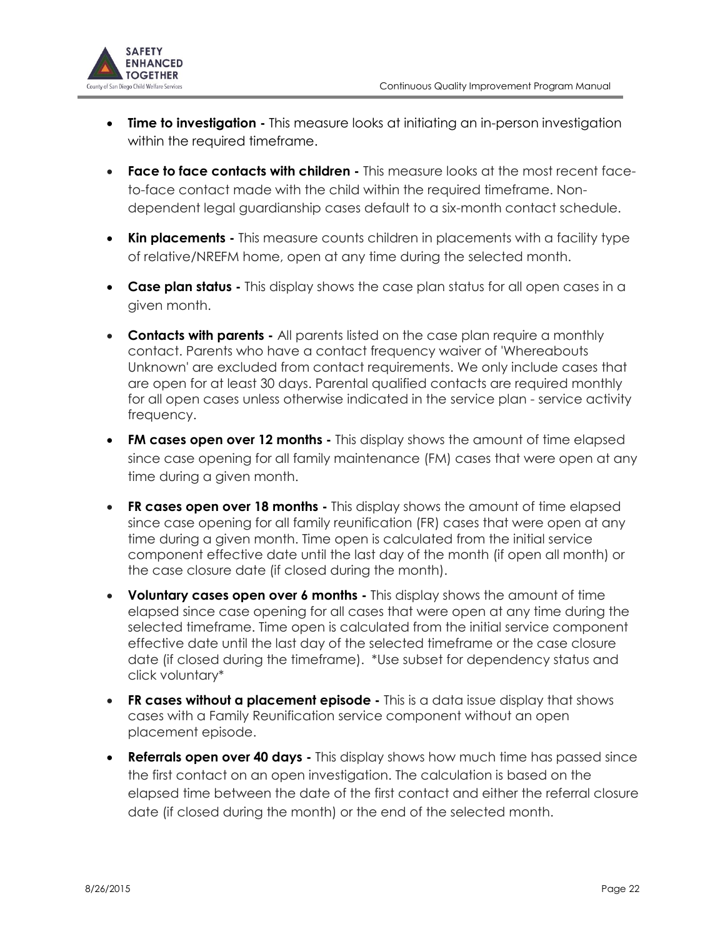

- **Time to investigation** This measure looks at initiating an in-person investigation within the required timeframe.
- **Face to face contacts with children -** This measure looks at the most recent faceto-face contact made with the child within the required timeframe. Nondependent legal guardianship cases default to a six-month contact schedule.
- **Kin placements -** This measure counts children in placements with a facility type of relative/NREFM home, open at any time during the selected month.
- **Case plan status -** This display shows the case plan status for all open cases in a given month.
- **Contacts with parents -** All parents listed on the case plan require a monthly contact. Parents who have a contact frequency waiver of 'Whereabouts Unknown' are excluded from contact requirements. We only include cases that are open for at least 30 days. Parental qualified contacts are required monthly for all open cases unless otherwise indicated in the service plan - service activity frequency.
- **FM cases open over 12 months -** This display shows the amount of time elapsed since case opening for all family maintenance (FM) cases that were open at any time during a given month.
- **FR cases open over 18 months** This display shows the amount of time elapsed since case opening for all family reunification (FR) cases that were open at any time during a given month. Time open is calculated from the initial service component effective date until the last day of the month (if open all month) or the case closure date (if closed during the month).
- **Voluntary cases open over 6 months -** This display shows the amount of time elapsed since case opening for all cases that were open at any time during the selected timeframe. Time open is calculated from the initial service component effective date until the last day of the selected timeframe or the case closure date (if closed during the timeframe). \*Use subset for dependency status and click voluntary\*
- **FR cases without a placement episode -** This is a data issue display that shows cases with a Family Reunification service component without an open placement episode.
- **Referrals open over 40 days -** This display shows how much time has passed since the first contact on an open investigation. The calculation is based on the elapsed time between the date of the first contact and either the referral closure date (if closed during the month) or the end of the selected month.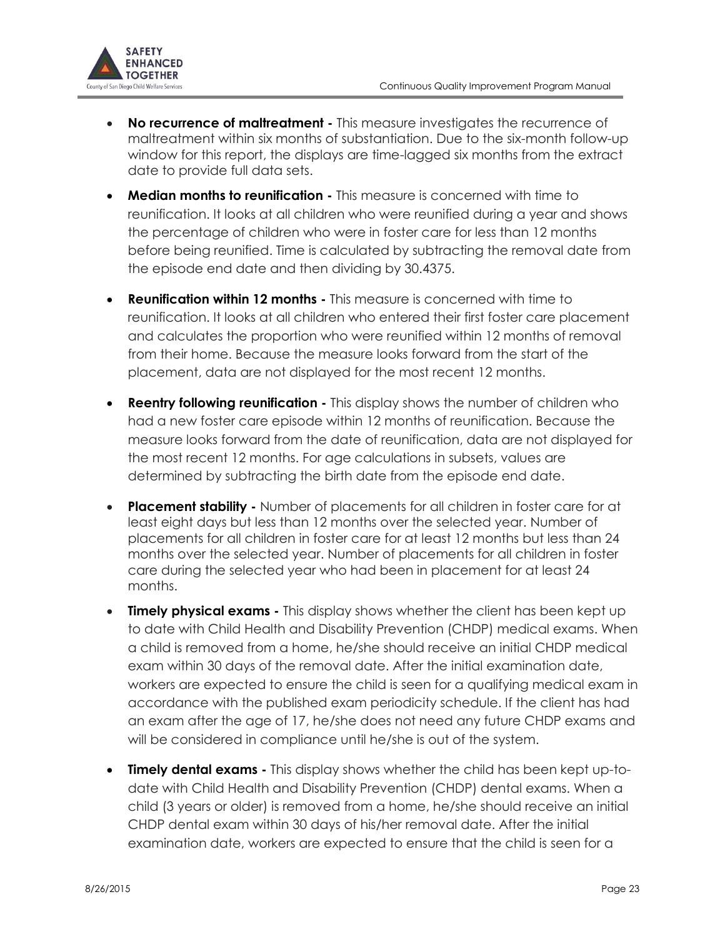

- **No recurrence of maltreatment -** This measure investigates the recurrence of maltreatment within six months of substantiation. Due to the six-month follow-up window for this report, the displays are time-lagged six months from the extract date to provide full data sets.
- **Median months to reunification -** This measure is concerned with time to reunification. It looks at all children who were reunified during a year and shows the percentage of children who were in foster care for less than 12 months before being reunified. Time is calculated by subtracting the removal date from the episode end date and then dividing by 30.4375.
- **Reunification within 12 months -** This measure is concerned with time to reunification. It looks at all children who entered their first foster care placement and calculates the proportion who were reunified within 12 months of removal from their home. Because the measure looks forward from the start of the placement, data are not displayed for the most recent 12 months.
- **Reentry following reunification** This display shows the number of children who had a new foster care episode within 12 months of reunification. Because the measure looks forward from the date of reunification, data are not displayed for the most recent 12 months. For age calculations in subsets, values are determined by subtracting the birth date from the episode end date.
- **Placement stability -** Number of placements for all children in foster care for at least eight days but less than 12 months over the selected year. Number of placements for all children in foster care for at least 12 months but less than 24 months over the selected year. Number of placements for all children in foster care during the selected year who had been in placement for at least 24 months.
- **Timely physical exams -** This display shows whether the client has been kept up to date with Child Health and Disability Prevention (CHDP) medical exams. When a child is removed from a home, he/she should receive an initial CHDP medical exam within 30 days of the removal date. After the initial examination date, workers are expected to ensure the child is seen for a qualifying medical exam in accordance with the published exam periodicity schedule. If the client has had an exam after the age of 17, he/she does not need any future CHDP exams and will be considered in compliance until he/she is out of the system.
- **Timely dental exams -** This display shows whether the child has been kept up-todate with Child Health and Disability Prevention (CHDP) dental exams. When a child (3 years or older) is removed from a home, he/she should receive an initial CHDP dental exam within 30 days of his/her removal date. After the initial examination date, workers are expected to ensure that the child is seen for a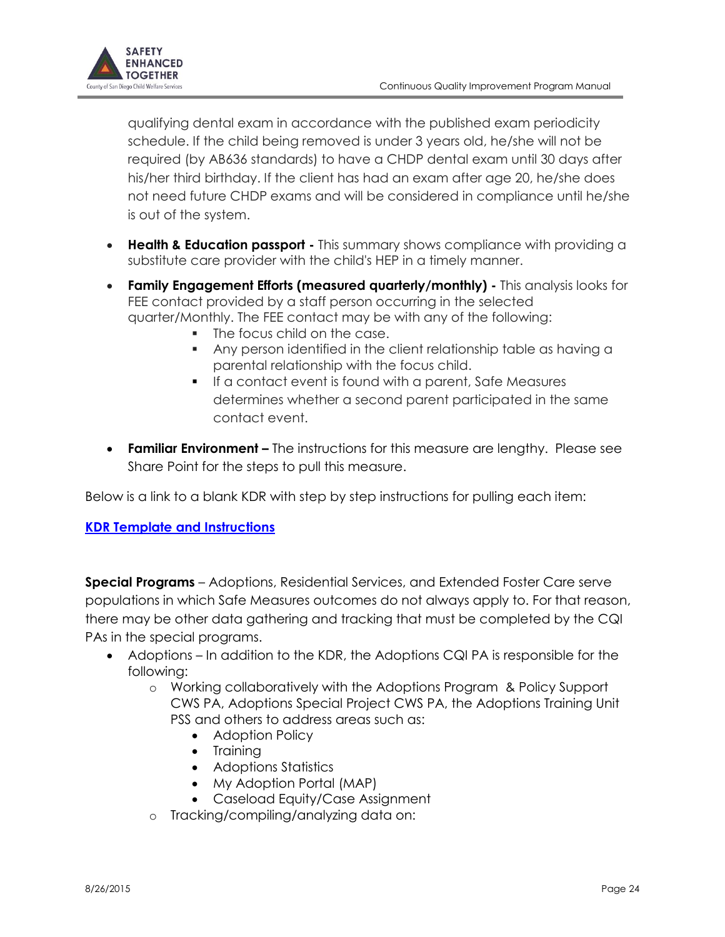

qualifying dental exam in accordance with the published exam periodicity schedule. If the child being removed is under 3 years old, he/she will not be required (by AB636 standards) to have a CHDP dental exam until 30 days after his/her third birthday. If the client has had an exam after age 20, he/she does not need future CHDP exams and will be considered in compliance until he/she is out of the system.

- **Health & Education passport -** This summary shows compliance with providing a substitute care provider with the child's HEP in a timely manner.
- **Family Engagement Efforts (measured quarterly/monthly) -** This analysis looks for FEE contact provided by a staff person occurring in the selected quarter/Monthly. The FEE contact may be with any of the following:
	- The focus child on the case.
	- Any person identified in the client relationship table as having a parental relationship with the focus child.
	- If a contact event is found with a parent, Safe Measures determines whether a second parent participated in the same contact event.
- **Familiar Environment –** The instructions for this measure are lengthy. Please see Share Point for the steps to pull this measure.

Below is a link to a blank KDR with step by step instructions for pulling each item:

## **[KDR Template and Instructions](file:///C:/Users/pruefer/Documents/KDR_Template%20rev%20021715.xlsx)**

**Special Programs** – Adoptions, Residential Services, and Extended Foster Care serve populations in which Safe Measures outcomes do not always apply to. For that reason, there may be other data gathering and tracking that must be completed by the CQI PAs in the special programs.

- Adoptions In addition to the KDR, the Adoptions CQI PA is responsible for the following:
	- o Working collaboratively with the Adoptions Program & Policy Support CWS PA, Adoptions Special Project CWS PA, the Adoptions Training Unit PSS and others to address areas such as:
		- Adoption Policy
		- Training
		- Adoptions Statistics
		- My Adoption Portal (MAP)
		- Caseload Equity/Case Assignment
	- o Tracking/compiling/analyzing data on: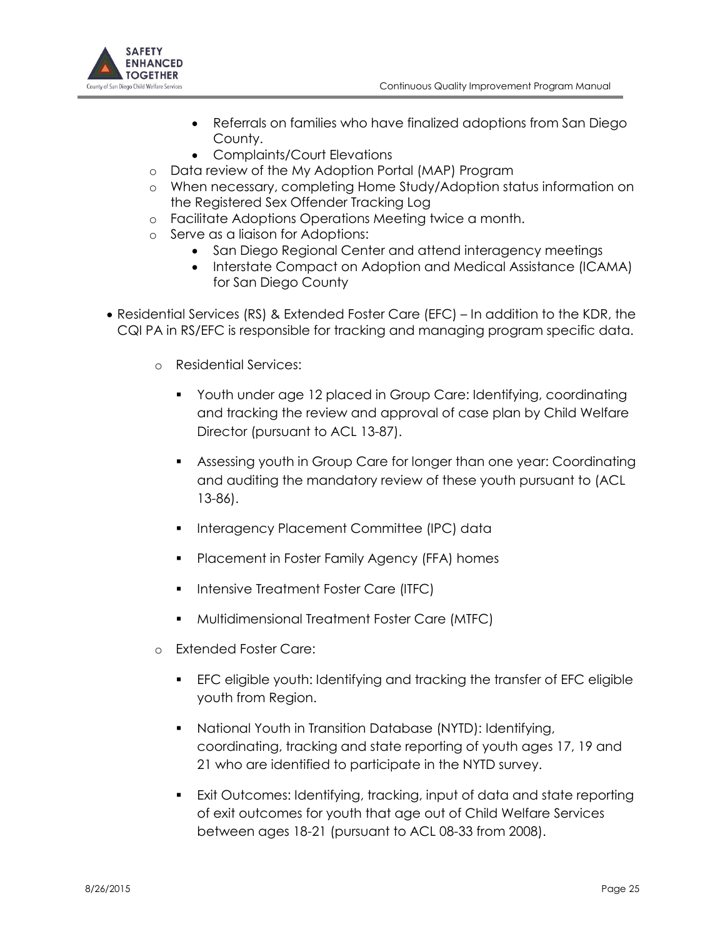

- Referrals on families who have finalized adoptions from San Diego County.
- Complaints/Court Elevations
- o Data review of the My Adoption Portal (MAP) Program
- o When necessary, completing Home Study/Adoption status information on the Registered Sex Offender Tracking Log
- o Facilitate Adoptions Operations Meeting twice a month.
- o Serve as a liaison for Adoptions:
	- San Diego Regional Center and attend interagency meetings
	- Interstate Compact on Adoption and Medical Assistance (ICAMA) for San Diego County
- Residential Services (RS) & Extended Foster Care (EFC) In addition to the KDR, the CQI PA in RS/EFC is responsible for tracking and managing program specific data.
	- o Residential Services:
		- Youth under age 12 placed in Group Care: Identifying, coordinating and tracking the review and approval of case plan by Child Welfare Director (pursuant to ACL 13-87).
		- Assessing youth in Group Care for longer than one year: Coordinating and auditing the mandatory review of these youth pursuant to (ACL 13-86).
		- **Interagency Placement Committee (IPC) data**
		- **Placement in Foster Family Agency (FFA) homes**
		- **Intensive Treatment Foster Care (ITFC)**
		- **Multidimensional Treatment Foster Care (MTFC)**
	- **Extended Foster Care:** 
		- EFC eligible youth: Identifying and tracking the transfer of EFC eligible youth from Region.
		- National Youth in Transition Database (NYTD): Identifying, coordinating, tracking and state reporting of youth ages 17, 19 and 21 who are identified to participate in the NYTD survey.
		- Exit Outcomes: Identifying, tracking, input of data and state reporting of exit outcomes for youth that age out of Child Welfare Services between ages 18-21 (pursuant to ACL 08-33 from 2008).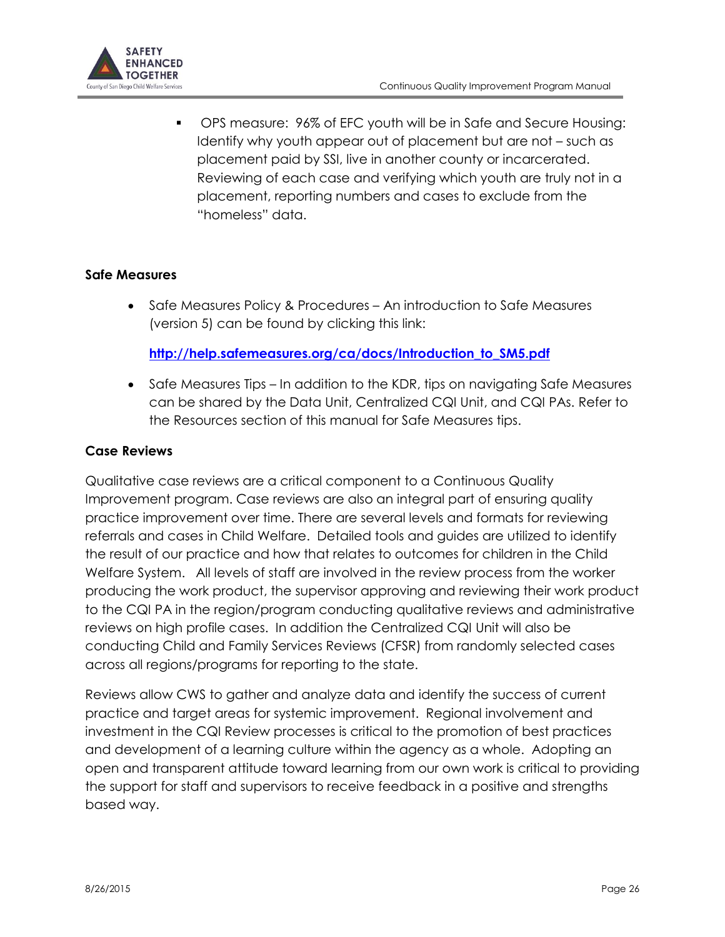

 OPS measure: 96% of EFC youth will be in Safe and Secure Housing: Identify why youth appear out of placement but are not – such as placement paid by SSI, live in another county or incarcerated. Reviewing of each case and verifying which youth are truly not in a placement, reporting numbers and cases to exclude from the "homeless" data.

#### **Safe Measures**

• Safe Measures Policy & Procedures – An introduction to Safe Measures (version 5) can be found by clicking this link:

#### **[http://help.safemeasures.org/ca/docs/Introduction\\_to\\_SM5.pdf](http://help.safemeasures.org/ca/docs/Introduction_to_SM5.pdf)**

• Safe Measures Tips – In addition to the KDR, tips on navigating Safe Measures can be shared by the Data Unit, Centralized CQI Unit, and CQI PAs. Refer to the Resources section of this manual for Safe Measures tips.

#### **Case Reviews**

Qualitative case reviews are a critical component to a Continuous Quality Improvement program. Case reviews are also an integral part of ensuring quality practice improvement over time. There are several levels and formats for reviewing referrals and cases in Child Welfare. Detailed tools and guides are utilized to identify the result of our practice and how that relates to outcomes for children in the Child Welfare System. All levels of staff are involved in the review process from the worker producing the work product, the supervisor approving and reviewing their work product to the CQI PA in the region/program conducting qualitative reviews and administrative reviews on high profile cases. In addition the Centralized CQI Unit will also be conducting Child and Family Services Reviews (CFSR) from randomly selected cases across all regions/programs for reporting to the state.

Reviews allow CWS to gather and analyze data and identify the success of current practice and target areas for systemic improvement. Regional involvement and investment in the CQI Review processes is critical to the promotion of best practices and development of a learning culture within the agency as a whole. Adopting an open and transparent attitude toward learning from our own work is critical to providing the support for staff and supervisors to receive feedback in a positive and strengths based way.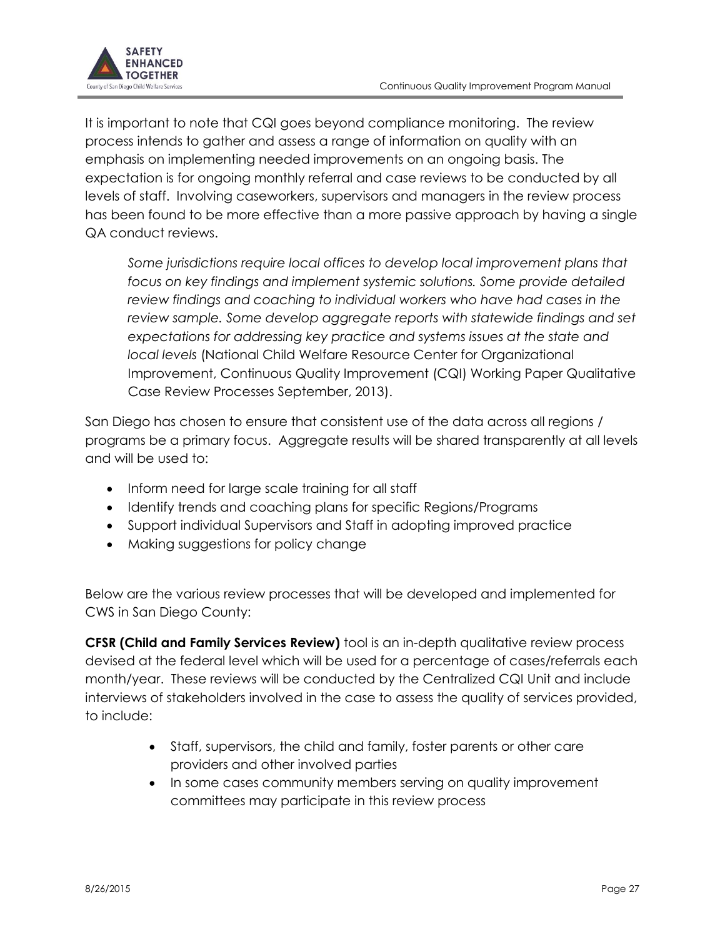

It is important to note that CQI goes beyond compliance monitoring. The review process intends to gather and assess a range of information on quality with an emphasis on implementing needed improvements on an ongoing basis. The expectation is for ongoing monthly referral and case reviews to be conducted by all levels of staff. Involving caseworkers, supervisors and managers in the review process has been found to be more effective than a more passive approach by having a single QA conduct reviews.

*Some jurisdictions require local offices to develop local improvement plans that focus on key findings and implement systemic solutions. Some provide detailed review findings and coaching to individual workers who have had cases in the review sample. Some develop aggregate reports with statewide findings and set expectations for addressing key practice and systems issues at the state and local levels* (National Child Welfare Resource Center for Organizational Improvement, Continuous Quality Improvement (CQI) Working Paper Qualitative Case Review Processes September, 2013).

San Diego has chosen to ensure that consistent use of the data across all regions / programs be a primary focus. Aggregate results will be shared transparently at all levels and will be used to:

- Inform need for large scale training for all staff
- Identify trends and coaching plans for specific Regions/Programs
- Support individual Supervisors and Staff in adopting improved practice
- Making suggestions for policy change

Below are the various review processes that will be developed and implemented for CWS in San Diego County:

**CFSR (Child and Family Services Review)** tool is an in-depth qualitative review process devised at the federal level which will be used for a percentage of cases/referrals each month/year. These reviews will be conducted by the Centralized CQI Unit and include interviews of stakeholders involved in the case to assess the quality of services provided, to include:

- Staff, supervisors, the child and family, foster parents or other care providers and other involved parties
- In some cases community members serving on quality improvement committees may participate in this review process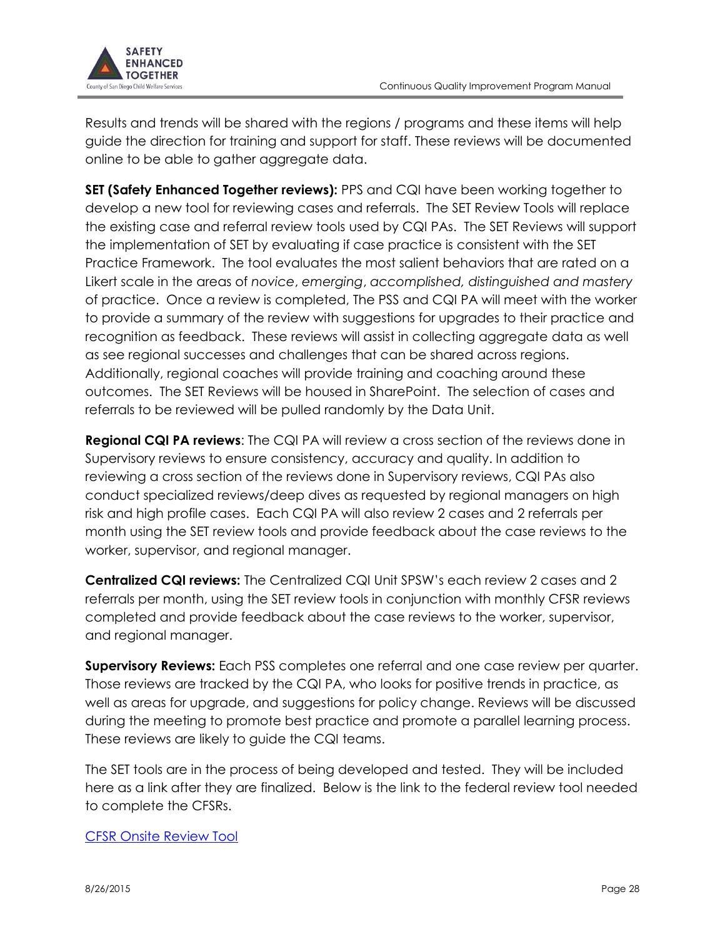

Results and trends will be shared with the regions / programs and these items will help guide the direction for training and support for staff. These reviews will be documented online to be able to gather aggregate data.

**SET (Safety Enhanced Together reviews):** PPS and CQI have been working together to develop a new tool for reviewing cases and referrals. The SET Review Tools will replace the existing case and referral review tools used by CQI PAs. The SET Reviews will support the implementation of SET by evaluating if case practice is consistent with the SET Practice Framework. The tool evaluates the most salient behaviors that are rated on a Likert scale in the areas of *novice*, *emerging*, *accomplished, distinguished and mastery* of practice. Once a review is completed, The PSS and CQI PA will meet with the worker to provide a summary of the review with suggestions for upgrades to their practice and recognition as feedback. These reviews will assist in collecting aggregate data as well as see regional successes and challenges that can be shared across regions. Additionally, regional coaches will provide training and coaching around these outcomes. The SET Reviews will be housed in SharePoint. The selection of cases and referrals to be reviewed will be pulled randomly by the Data Unit.

**Regional CQI PA reviews**: The CQI PA will review a cross section of the reviews done in Supervisory reviews to ensure consistency, accuracy and quality. In addition to reviewing a cross section of the reviews done in Supervisory reviews, CQI PAs also conduct specialized reviews/deep dives as requested by regional managers on high risk and high profile cases. Each CQI PA will also review 2 cases and 2 referrals per month using the SET review tools and provide feedback about the case reviews to the worker, supervisor, and regional manager.

**Centralized CQI reviews:** The Centralized CQI Unit SPSW's each review 2 cases and 2 referrals per month, using the SET review tools in conjunction with monthly CFSR reviews completed and provide feedback about the case reviews to the worker, supervisor, and regional manager.

**Supervisory Reviews:** Each PSS completes one referral and one case review per quarter. Those reviews are tracked by the CQI PA, who looks for positive trends in practice, as well as areas for upgrade, and suggestions for policy change. Reviews will be discussed during the meeting to promote best practice and promote a parallel learning process. These reviews are likely to guide the CQI teams.

The SET tools are in the process of being developed and tested. They will be included here as a link after they are finalized. Below is the link to the federal review tool needed to complete the CFSRs.

#### [CFSR Onsite Review Tool](../Desktop/OSRI_Fillable_Form_R3Final_OMB_update.pdf)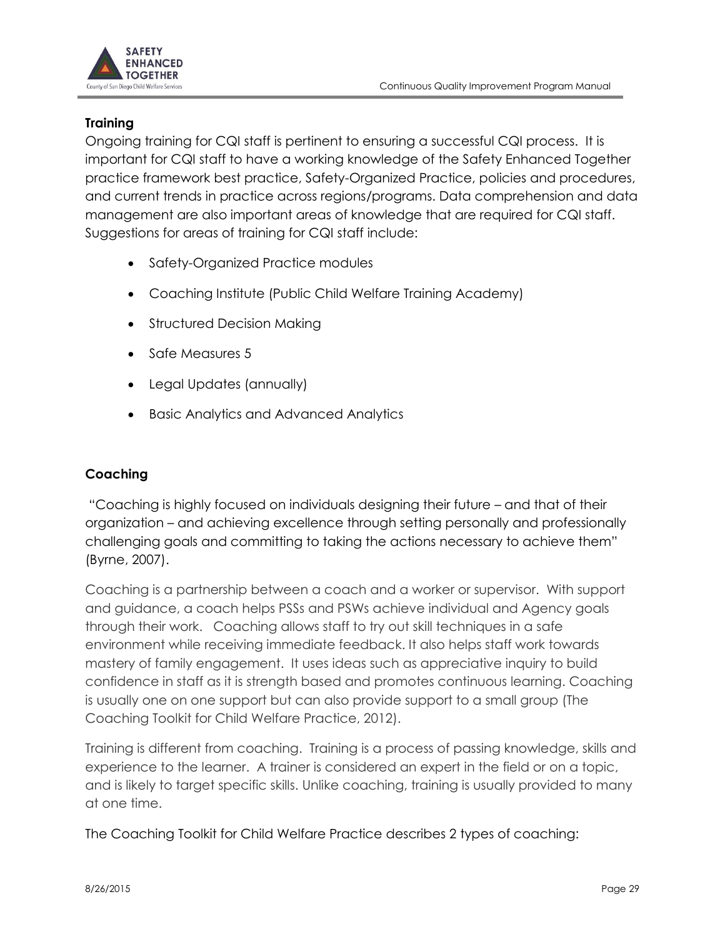

## **Training**

Ongoing training for CQI staff is pertinent to ensuring a successful CQI process. It is important for CQI staff to have a working knowledge of the Safety Enhanced Together practice framework best practice, Safety-Organized Practice, policies and procedures, and current trends in practice across regions/programs. Data comprehension and data management are also important areas of knowledge that are required for CQI staff. Suggestions for areas of training for CQI staff include:

- Safety-Organized Practice modules
- Coaching Institute (Public Child Welfare Training Academy)
- Structured Decision Making
- Safe Measures 5
- Legal Updates (annually)
- Basic Analytics and Advanced Analytics

## **Coaching**

"Coaching is highly focused on individuals designing their future – and that of their organization – and achieving excellence through setting personally and professionally challenging goals and committing to taking the actions necessary to achieve them" (Byrne, 2007).

Coaching is a partnership between a coach and a worker or supervisor. With support and guidance, a coach helps PSSs and PSWs achieve individual and Agency goals through their work. Coaching allows staff to try out skill techniques in a safe environment while receiving immediate feedback. It also helps staff work towards mastery of family engagement. It uses ideas such as appreciative inquiry to build confidence in staff as it is strength based and promotes continuous learning. Coaching is usually one on one support but can also provide support to a small group (The Coaching Toolkit for Child Welfare Practice, 2012).

Training is different from coaching. Training is a process of passing knowledge, skills and experience to the learner. A trainer is considered an expert in the field or on a topic, and is likely to target specific skills. Unlike coaching, training is usually provided to many at one time.

The Coaching Toolkit for Child Welfare Practice describes 2 types of coaching: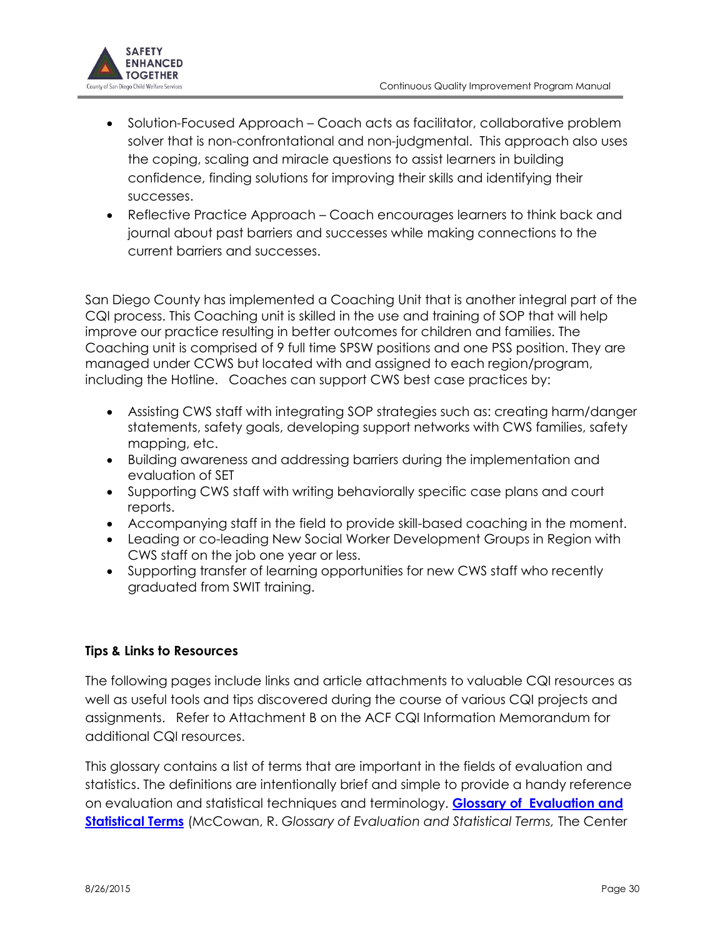

- Solution-Focused Approach Coach acts as facilitator, collaborative problem solver that is non-confrontational and non-judgmental. This approach also uses the coping, scaling and miracle questions to assist learners in building confidence, finding solutions for improving their skills and identifying their successes.
- Reflective Practice Approach Coach encourages learners to think back and journal about past barriers and successes while making connections to the current barriers and successes.

San Diego County has implemented a Coaching Unit that is another integral part of the CQI process. This Coaching unit is skilled in the use and training of SOP that will help improve our practice resulting in better outcomes for children and families. The Coaching unit is comprised of 9 full time SPSW positions and one PSS position. They are managed under CCWS but located with and assigned to each region/program, including the Hotline. Coaches can support CWS best case practices by:

- Assisting CWS staff with integrating SOP strategies such as: creating harm/danger statements, safety goals, developing support networks with CWS families, safety mapping, etc.
- Building awareness and addressing barriers during the implementation and evaluation of SET
- Supporting CWS staff with writing behaviorally specific case plans and court reports.
- Accompanying staff in the field to provide skill-based coaching in the moment.
- Leading or co-leading New Social Worker Development Groups in Region with CWS staff on the job one year or less.
- Supporting transfer of learning opportunities for new CWS staff who recently graduated from SWIT training.

## **Tips & Links to Resources**

The following pages include links and article attachments to valuable CQI resources as well as useful tools and tips discovered during the course of various CQI projects and assignments. Refer to Attachment B on the ACF CQI Information Memorandum for additional CQI resources.

This glossary contains a list of terms that are important in the fields of evaluation and statistics. The definitions are intentionally brief and simple to provide a handy reference on evaluation and statistical techniques and terminology. **[Glossary of Evaluation and](http://www.bsc-cdhs.org/files/Glossary%20of%20Evaluation%20and%20Statistical%20Terms.pdf)  [Statistical Terms](http://www.bsc-cdhs.org/files/Glossary%20of%20Evaluation%20and%20Statistical%20Terms.pdf)** (McCowan, R. *Glossary of Evaluation and Statistical Terms,* The Center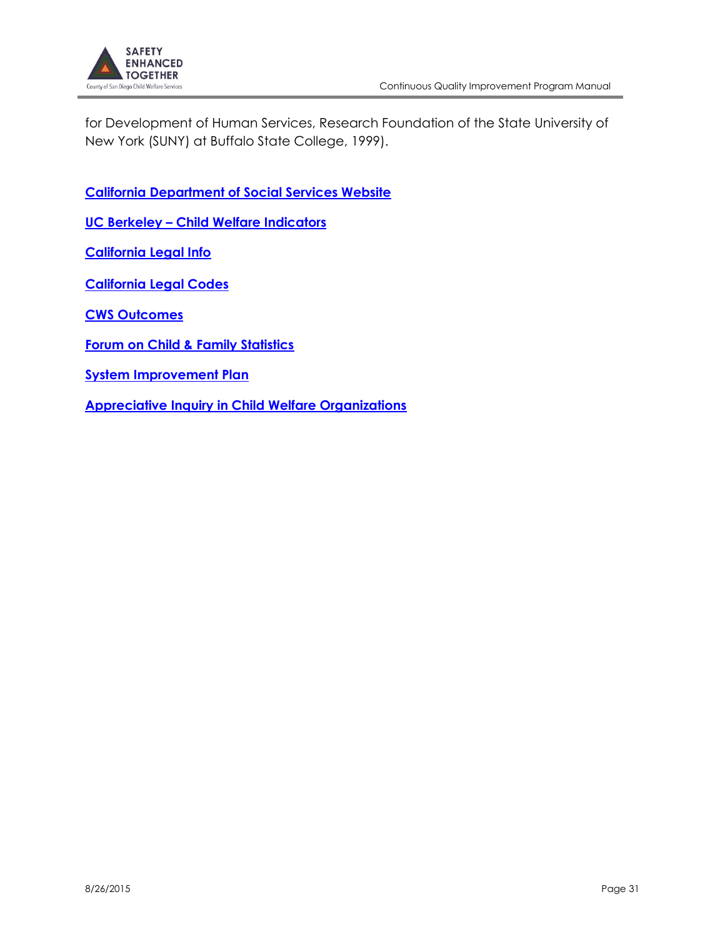

for Development of Human Services, Research Foundation of the State University of New York (SUNY) at Buffalo State College, 1999).

**[California Department of Social Services Website](http://www.cdss.ca.gov/cdssweb/Default.htm)**

**UC Berkeley – [Child Welfare Indicators](http://cssr.berkeley.edu/ucb_childwelfare/)** 

**[California Legal Info](http://www.leginfo.ca.gov/calaw.html)** 

**[California Legal Codes](http://leginfo.legislature.ca.gov/faces/codes.xhtml)**

**[CWS Outcomes](http://cssr.berkeley.edu/ucb_childwelfare/Ccfsr.aspx)** 

**[Forum on Child & Family Statistics](http://www.childstats.gov/index.asp)**

**[System Improvement Plan](http://www.sdcounty.ca.gov/hhsa/programs/cs/documents/finalsipreport_9_14_04.pdf)**

**[Appreciative Inquiry in Child Welfare Organizations](http://bayareaacademy.org/wp-content/uploads/2013/05/ai-handout.pdf)**